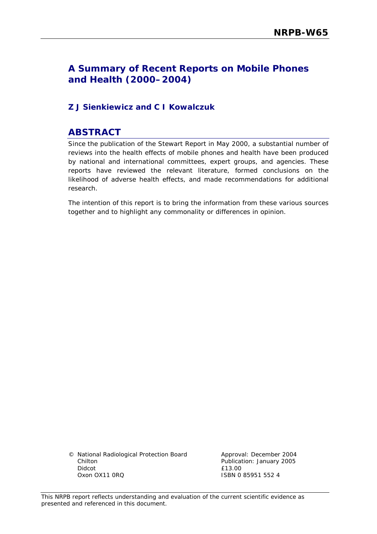## **A Summary of Recent Reports on Mobile Phones and Health (2000–2004)**

## **Z J Sienkiewicz and C I Kowalczuk**

## **ABSTRACT**

Since the publication of the Stewart Report in May 2000, a substantial number of reviews into the health effects of mobile phones and health have been produced by national and international committees, expert groups, and agencies. These reports have reviewed the relevant literature, formed conclusions on the likelihood of adverse health effects, and made recommendations for additional research.

The intention of this report is to bring the information from these various sources together and to highlight any commonality or differences in opinion.

© National Radiological Protection Board Chilton Didcot Oxon OX11 0RQ

Approval: December 2004 Publication: January 2005 £13.00 ISBN 0 85951 552 4

This NRPB report reflects understanding and evaluation of the current scientific evidence as presented and referenced in this document.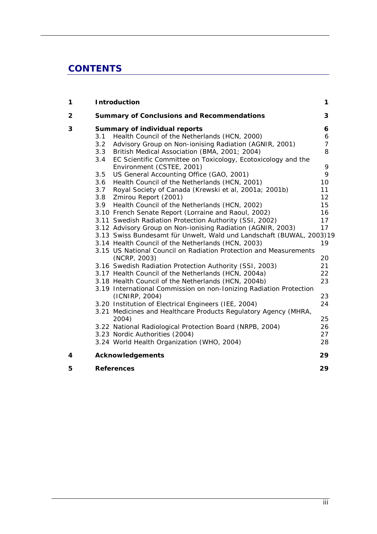# **CONTENTS**

| 1            | <b>Introduction</b>                                                                              |                |  |  |
|--------------|--------------------------------------------------------------------------------------------------|----------------|--|--|
| $\mathbf{2}$ | <b>Summary of Conclusions and Recommendations</b>                                                |                |  |  |
| 3            | <b>Summary of individual reports</b>                                                             |                |  |  |
|              | Health Council of the Netherlands (HCN, 2000)<br>3.1                                             | 6              |  |  |
|              | 3.2<br>Advisory Group on Non-ionising Radiation (AGNIR, 2001)                                    | $\overline{7}$ |  |  |
|              | British Medical Association (BMA, 2001; 2004)<br>3.3                                             | 8              |  |  |
|              | EC Scientific Committee on Toxicology, Ecotoxicology and the<br>3.4<br>Environment (CSTEE, 2001) | 9              |  |  |
|              | 3.5<br>US General Accounting Office (GAO, 2001)                                                  | 9              |  |  |
|              | Health Council of the Netherlands (HCN, 2001)<br>3.6                                             | 10             |  |  |
|              | 3.7<br>Royal Society of Canada (Krewski et al, 2001a; 2001b)                                     | 11             |  |  |
|              | 3.8<br>Zmirou Report (2001)                                                                      | 12             |  |  |
|              | 3.9<br>Health Council of the Netherlands (HCN, 2002)                                             | 15             |  |  |
|              | 3.10 French Senate Report (Lorraine and Raoul, 2002)                                             | 16             |  |  |
|              | 3.11 Swedish Radiation Protection Authority (SSI, 2002)                                          | 17             |  |  |
|              | 3.12 Advisory Group on Non-ionising Radiation (AGNIR, 2003)                                      | 17             |  |  |
|              | 3.13 Swiss Bundesamt für Unwelt, Wald und Landschaft (BUWAL, 2003)19                             |                |  |  |
|              | 3.14 Health Council of the Netherlands (HCN, 2003)                                               | 19             |  |  |
|              | 3.15 US National Council on Radiation Protection and Measurements                                |                |  |  |
|              | (NCRP, 2003)                                                                                     | 20             |  |  |
|              | 3.16 Swedish Radiation Protection Authority (SSI, 2003)                                          | 21             |  |  |
|              | 3.17 Health Council of the Netherlands (HCN, 2004a)                                              | 22             |  |  |
|              | 3.18 Health Council of the Netherlands (HCN, 2004b)                                              | 23             |  |  |
|              | 3.19 International Commission on non-Ionizing Radiation Protection                               |                |  |  |
|              | (ICNIRP, 2004)                                                                                   | 23             |  |  |
|              | 3.20 Institution of Electrical Engineers (IEE, 2004)                                             | 24             |  |  |
|              | 3.21 Medicines and Healthcare Products Regulatory Agency (MHRA,<br>2004)                         | 25             |  |  |
|              | 3.22 National Radiological Protection Board (NRPB, 2004)                                         | 26             |  |  |
|              | 3.23 Nordic Authorities (2004)                                                                   | 27             |  |  |
|              | 3.24 World Health Organization (WHO, 2004)                                                       | 28             |  |  |
| 4            | <b>Acknowledgements</b>                                                                          | 29             |  |  |
| 5            | <b>References</b>                                                                                | 29             |  |  |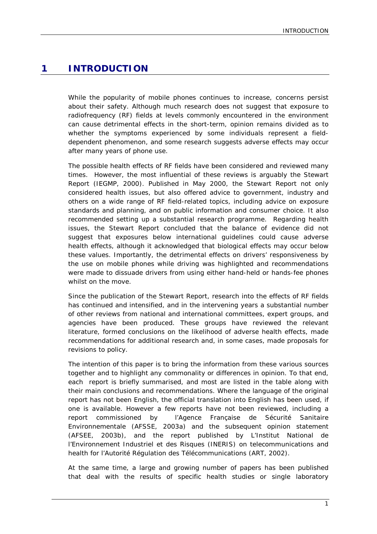### **1 INTRODUCTION**

While the popularity of mobile phones continues to increase, concerns persist about their safety. Although much research does not suggest that exposure to radiofrequency (RF) fields at levels commonly encountered in the environment can cause detrimental effects in the short-term, opinion remains divided as to whether the symptoms experienced by some individuals represent a fielddependent phenomenon, and some research suggests adverse effects may occur after many years of phone use.

The possible health effects of RF fields have been considered and reviewed many times. However, the most influential of these reviews is arguably the Stewart Report (IEGMP, 2000). Published in May 2000, the Stewart Report not only considered health issues, but also offered advice to government, industry and others on a wide range of RF field-related topics, including advice on exposure standards and planning, and on public information and consumer choice. It also recommended setting up a substantial research programme. Regarding health issues, the Stewart Report concluded that the balance of evidence did not suggest that exposures below international guidelines could cause adverse health effects, although it acknowledged that biological effects may occur below these values. Importantly, the detrimental effects on drivers' responsiveness by the use on mobile phones while driving was highlighted and recommendations were made to dissuade drivers from using either hand-held or hands-fee phones whilst on the move.

Since the publication of the Stewart Report, research into the effects of RF fields has continued and intensified, and in the intervening years a substantial number of other reviews from national and international committees, expert groups, and agencies have been produced. These groups have reviewed the relevant literature, formed conclusions on the likelihood of adverse health effects, made recommendations for additional research and, in some cases, made proposals for revisions to policy.

The intention of this paper is to bring the information from these various sources together and to highlight any commonality or differences in opinion. To that end, each report is briefly summarised, and most are listed in the table along with their main conclusions and recommendations. Where the language of the original report has not been English, the official translation into English has been used, if one is available. However a few reports have not been reviewed, including a report commissioned by l'Agence Française de Sécurité Sanitaire Environnementale (AFSSE, 2003a) and the subsequent opinion statement (AFSEE, 2003b), and the report published by L'Institut National de l'Environnement Industriel et des Risques (INERIS) on telecommunications and health for l'Autorité Régulation des Télécommunications (ART, 2002).

At the same time, a large and growing number of papers has been published that deal with the results of specific health studies or single laboratory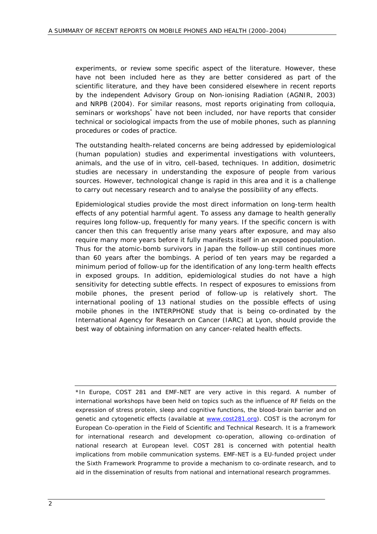experiments, or review some specific aspect of the literature. However, these have not been included here as they are better considered as part of the scientific literature, and they have been considered elsewhere in recent reports by the independent Advisory Group on Non-ionising Radiation (AGNIR, 2003) and NRPB (2004). For similar reasons, most reports originating from colloquia, seminars or workshops<sup>\*</sup> have not been included, nor have reports that consider technical or sociological impacts from the use of mobile phones, such as planning procedures or codes of practice.

The outstanding health-related concerns are being addressed by epidemiological (human population) studies and experimental investigations with volunteers, animals, and the use of *in vitro*, cell-based, techniques. In addition, dosimetric studies are necessary in understanding the exposure of people from various sources. However, technological change is rapid in this area and it is a challenge to carry out necessary research and to analyse the possibility of any effects.

Epidemiological studies provide the most direct information on long-term health effects of any potential harmful agent. To assess any damage to health generally requires long follow-up, frequently for many years. If the specific concern is with cancer then this can frequently arise many years after exposure, and may also require many more years before it fully manifests itself in an exposed population. Thus for the atomic-bomb survivors in Japan the follow-up still continues more than 60 years after the bombings. A period of ten years may be regarded a minimum period of follow-up for the identification of any long-term health effects in exposed groups. In addition, epidemiological studies do not have a high sensitivity for detecting subtle effects. In respect of exposures to emissions from mobile phones, the present period of follow-up is relatively short. The international pooling of 13 national studies on the possible effects of using mobile phones in the INTERPHONE study that is being co-ordinated by the International Agency for Research on Cancer (IARC) at Lyon, should provide the best way of obtaining information on any cancer-related health effects.

\*In Europe, COST 281 and EMF-NET are very active in this regard. A number of international workshops have been held on topics such as the influence of RF fields on the expression of stress protein, sleep and cognitive functions, the blood-brain barrier and on genetic and cytogenetic effects (available at www.cost281.org). COST is the acronym for European Co-operation in the Field of Scientific and Technical Research. It is a framework for international research and development co-operation, allowing co-ordination of national research at European level. COST 281 is concerned with potential health implications from mobile communication systems. EMF-NET is a EU-funded project under the Sixth Framework Programme to provide a mechanism to co-ordinate research, and to aid in the dissemination of results from national and international research programmes.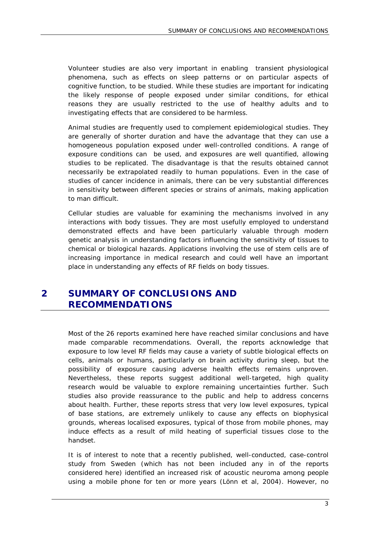Volunteer studies are also very important in enabling transient physiological phenomena, such as effects on sleep patterns or on particular aspects of cognitive function, to be studied. While these studies are important for indicating the likely response of people exposed under similar conditions, for ethical reasons they are usually restricted to the use of healthy adults and to investigating effects that are considered to be harmless.

Animal studies are frequently used to complement epidemiological studies. They are generally of shorter duration and have the advantage that they can use a homogeneous population exposed under well-controlled conditions. A range of exposure conditions can be used, and exposures are well quantified, allowing studies to be replicated. The disadvantage is that the results obtained cannot necessarily be extrapolated readily to human populations. Even in the case of studies of cancer incidence in animals, there can be very substantial differences in sensitivity between different species or strains of animals, making application to man difficult.

Cellular studies are valuable for examining the mechanisms involved in any interactions with body tissues. They are most usefully employed to understand demonstrated effects and have been particularly valuable through modern genetic analysis in understanding factors influencing the sensitivity of tissues to chemical or biological hazards. Applications involving the use of stem cells are of increasing importance in medical research and could well have an important place in understanding any effects of RF fields on body tissues.

## **2 SUMMARY OF CONCLUSIONS AND RECOMMENDATIONS**

Most of the 26 reports examined here have reached similar conclusions and have made comparable recommendations. Overall, the reports acknowledge that exposure to low level RF fields may cause a variety of subtle biological effects on cells, animals or humans, particularly on brain activity during sleep, but the possibility of exposure causing adverse health effects remains unproven. Nevertheless, these reports suggest additional well-targeted, high quality research would be valuable to explore remaining uncertainties further. Such studies also provide reassurance to the public and help to address concerns about health. Further, these reports stress that very low level exposures, typical of base stations, are extremely unlikely to cause any effects on biophysical grounds, whereas localised exposures, typical of those from mobile phones, may induce effects as a result of mild heating of superficial tissues close to the handset.

It is of interest to note that a recently published, well-conducted, case-control study from Sweden (which has not been included any in of the reports considered here) identified an increased risk of acoustic neuroma among people using a mobile phone for ten or more years (Lönn et al, 2004). However, no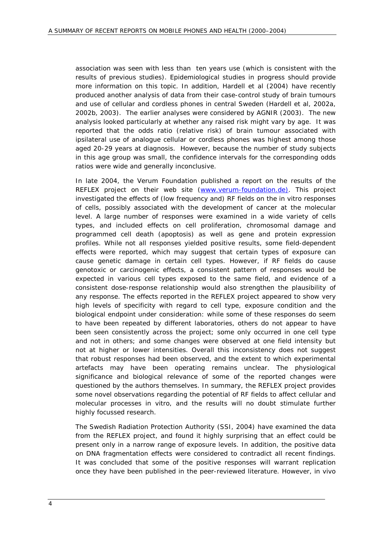association was seen with less than ten years use (which is consistent with the results of previous studies). Epidemiological studies in progress should provide more information on this topic. In addition, Hardell et al (2004) have recently produced another analysis of data from their case-control study of brain tumours and use of cellular and cordless phones in central Sweden (Hardell et al, 2002a, 2002b, 2003). The earlier analyses were considered by AGNIR (2003). The new analysis looked particularly at whether any raised risk might vary by age. It was reported that the odds ratio (relative risk) of brain tumour associated with ipsilateral use of analogue cellular or cordless phones was highest among those aged 20-29 years at diagnosis. However, because the number of study subjects in this age group was small, the confidence intervals for the corresponding odds ratios were wide and generally inconclusive.

In late 2004, the Verum Foundation published a report on the results of the REFLEX project on their web site (www.verum-foundation.de). This project investigated the effects of (low frequency and) RF fields on the *in vitro* responses of cells, possibly associated with the development of cancer at the molecular level. A large number of responses were examined in a wide variety of cells types, and included effects on cell proliferation, chromosomal damage and programmed cell death (apoptosis) as well as gene and protein expression profiles. While not all responses yielded positive results, some field-dependent effects were reported, which may suggest that certain types of exposure can cause genetic damage in certain cell types. However, if RF fields do cause genotoxic or carcinogenic effects, a consistent pattern of responses would be expected in various cell types exposed to the same field, and evidence of a consistent dose-response relationship would also strengthen the plausibility of any response. The effects reported in the REFLEX project appeared to show very high levels of specificity with regard to cell type, exposure condition and the biological endpoint under consideration: while some of these responses do seem to have been repeated by different laboratories, others do not appear to have been seen consistently across the project; some only occurred in one cell type and not in others; and some changes were observed at one field intensity but not at higher or lower intensities. Overall this inconsistency does not suggest that robust responses had been observed, and the extent to which experimental artefacts may have been operating remains unclear. The physiological significance and biological relevance of some of the reported changes were questioned by the authors themselves. In summary, the REFLEX project provides some novel observations regarding the potential of RF fields to affect cellular and molecular processes *in vitro*, and the results will no doubt stimulate further highly focussed research.

The Swedish Radiation Protection Authority (SSI, 2004) have examined the data from the REFLEX project, and found it highly surprising that an effect could be present only in a narrow range of exposure levels. In addition, the positive data on DNA fragmentation effects were considered to contradict all recent findings. It was concluded that some of the positive responses will warrant replication once they have been published in the peer-reviewed literature. However, *in vivo*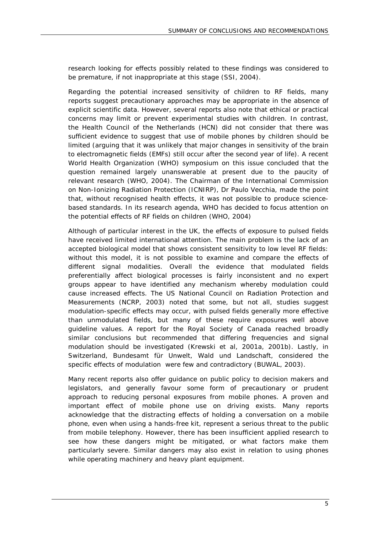research looking for effects possibly related to these findings was considered to be premature, if not inappropriate at this stage (SSI, 2004).

Regarding the potential increased sensitivity of children to RF fields, many reports suggest precautionary approaches may be appropriate in the absence of explicit scientific data. However, several reports also note that ethical or practical concerns may limit or prevent experimental studies with children. In contrast, the Health Council of the Netherlands (HCN) did not consider that there was sufficient evidence to suggest that use of mobile phones by children should be limited (arguing that it was unlikely that major changes in sensitivity of the brain to electromagnetic fields (EMFs) still occur after the second year of life). A recent World Health Organization (WHO) symposium on this issue concluded that the question remained largely unanswerable at present due to the paucity of relevant research (WHO, 2004). The Chairman of the International Commission on Non-Ionizing Radiation Protection (ICNIRP), Dr Paulo Vecchia, made the point that, without recognised health effects, it was not possible to produce sciencebased standards. In its research agenda, WHO has decided to focus attention on the potential effects of RF fields on children (WHO, 2004)

Although of particular interest in the UK, the effects of exposure to pulsed fields have received limited international attention. The main problem is the lack of an accepted biological model that shows consistent sensitivity to low level RF fields: without this model, it is not possible to examine and compare the effects of different signal modalities. Overall the evidence that modulated fields preferentially affect biological processes is fairly inconsistent and no expert groups appear to have identified any mechanism whereby modulation could cause increased effects. The US National Council on Radiation Protection and Measurements (NCRP, 2003) noted that some, but not all, studies suggest modulation-specific effects may occur, with pulsed fields generally more effective than unmodulated fields, but many of these require exposures well above guideline values. A report for the Royal Society of Canada reached broadly similar conclusions but recommended that differing frequencies and signal modulation should be investigated (Krewski et al, 2001a, 2001b). Lastly, in Switzerland, Bundesamt für Unwelt, Wald und Landschaft, considered the specific effects of modulation were few and contradictory (BUWAL, 2003).

Many recent reports also offer guidance on public policy to decision makers and legislators, and generally favour some form of precautionary or prudent approach to reducing personal exposures from mobile phones. A proven and important effect of mobile phone use on driving exists. Many reports acknowledge that the distracting effects of holding a conversation on a mobile phone, even when using a hands-free kit, represent a serious threat to the public from mobile telephony. However, there has been insufficient applied research to see how these dangers might be mitigated, or what factors make them particularly severe. Similar dangers may also exist in relation to using phones while operating machinery and heavy plant equipment.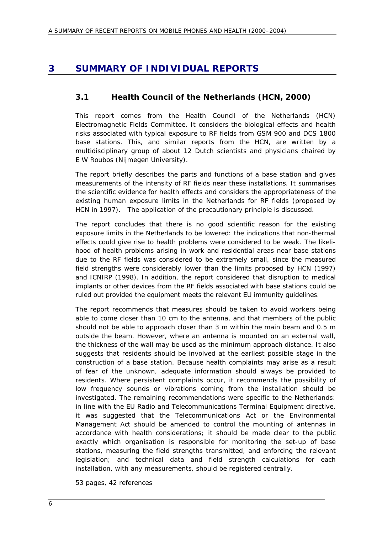## **3 SUMMARY OF INDIVIDUAL REPORTS**

## **3.1 Health Council of the Netherlands (HCN, 2000)**

This report comes from the Health Council of the Netherlands (HCN) Electromagnetic Fields Committee. It considers the biological effects and health risks associated with typical exposure to RF fields from GSM 900 and DCS 1800 base stations. This, and similar reports from the HCN, are written by a multidisciplinary group of about 12 Dutch scientists and physicians chaired by E W Roubos (Nijmegen University).

The report briefly describes the parts and functions of a base station and gives measurements of the intensity of RF fields near these installations. It summarises the scientific evidence for health effects and considers the appropriateness of the existing human exposure limits in the Netherlands for RF fields (proposed by HCN in 1997). The application of the precautionary principle is discussed.

The report concludes that there is no good scientific reason for the existing exposure limits in the Netherlands to be lowered: the indications that non-thermal effects could give rise to health problems were considered to be weak. The likelihood of health problems arising in work and residential areas near base stations due to the RF fields was considered to be extremely small, since the measured field strengths were considerably lower than the limits proposed by HCN (1997) and ICNIRP (1998). In addition, the report considered that disruption to medical implants or other devices from the RF fields associated with base stations could be ruled out provided the equipment meets the relevant EU immunity guidelines.

The report recommends that measures should be taken to avoid workers being able to come closer than 10 cm to the antenna, and that members of the public should not be able to approach closer than 3 m within the main beam and 0.5 m outside the beam. However, where an antenna is mounted on an external wall, the thickness of the wall may be used as the minimum approach distance. It also suggests that residents should be involved at the earliest possible stage in the construction of a base station. Because health complaints may arise as a result of fear of the unknown, adequate information should always be provided to residents. Where persistent complaints occur, it recommends the possibility of low frequency sounds or vibrations coming from the installation should be investigated. The remaining recommendations were specific to the Netherlands: in line with the EU Radio and Telecommunications Terminal Equipment directive, it was suggested that the Telecommunications Act or the Environmental Management Act should be amended to control the mounting of antennas in accordance with health considerations; it should be made clear to the public exactly which organisation is responsible for monitoring the set-up of base stations, measuring the field strengths transmitted, and enforcing the relevant legislation; and technical data and field strength calculations for each installation, with any measurements, should be registered centrally.

53 pages, 42 references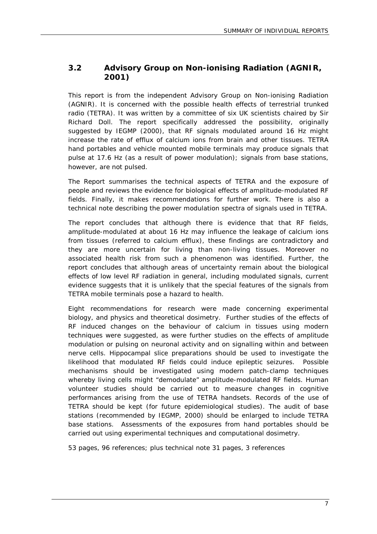## **3.2 Advisory Group on Non-ionising Radiation (AGNIR, 2001)**

This report is from the independent Advisory Group on Non-ionising Radiation (AGNIR). It is concerned with the possible health effects of terrestrial trunked radio (TETRA). It was written by a committee of six UK scientists chaired by Sir Richard Doll. The report specifically addressed the possibility, originally suggested by IEGMP (2000), that RF signals modulated around 16 Hz might increase the rate of efflux of calcium ions from brain and other tissues. TETRA hand portables and vehicle mounted mobile terminals may produce signals that pulse at 17.6 Hz (as a result of power modulation); signals from base stations, however, are not pulsed.

The Report summarises the technical aspects of TETRA and the exposure of people and reviews the evidence for biological effects of amplitude-modulated RF fields. Finally, it makes recommendations for further work. There is also a technical note describing the power modulation spectra of signals used in TETRA.

The report concludes that although there is evidence that that RF fields, amplitude-modulated at about 16 Hz may influence the leakage of calcium ions from tissues (referred to calcium efflux), these findings are contradictory and they are more uncertain for living than non-living tissues. Moreover no associated health risk from such a phenomenon was identified. Further, the report concludes that although areas of uncertainty remain about the biological effects of low level RF radiation in general, including modulated signals, current evidence suggests that it is unlikely that the special features of the signals from TETRA mobile terminals pose a hazard to health.

Eight recommendations for research were made concerning experimental biology, and physics and theoretical dosimetry. Further studies of the effects of RF induced changes on the behaviour of calcium in tissues using modern techniques were suggested, as were further studies on the effects of amplitude modulation or pulsing on neuronal activity and on signalling within and between nerve cells. Hippocampal slice preparations should be used to investigate the likelihood that modulated RF fields could induce epileptic seizures. Possible mechanisms should be investigated using modern patch-clamp techniques whereby living cells might "demodulate" amplitude-modulated RF fields. Human volunteer studies should be carried out to measure changes in cognitive performances arising from the use of TETRA handsets. Records of the use of TETRA should be kept (for future epidemiological studies). The audit of base stations (recommended by IEGMP, 2000) should be enlarged to include TETRA base stations. Assessments of the exposures from hand portables should be carried out using experimental techniques and computational dosimetry.

53 pages, 96 references; plus technical note 31 pages, 3 references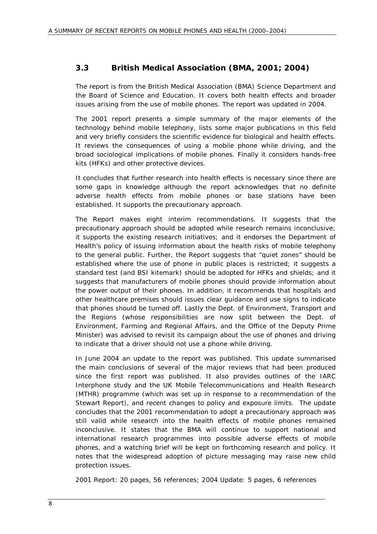#### **3.3 British Medical Association (BMA, 2001; 2004)**

The report is from the British Medical Association (BMA) Science Department and the Board of Science and Education. It covers both health effects and broader issues arising from the use of mobile phones. The report was updated in 2004.

The 2001 report presents a simple summary of the major elements of the technology behind mobile telephony, lists some major publications in this field and very briefly considers the scientific evidence for biological and health effects. It reviews the consequences of using a mobile phone while driving, and the broad sociological implications of mobile phones. Finally it considers hands-free kits (HFKs) and other protective devices.

It concludes that further research into health effects is necessary since there are some gaps in knowledge although the report acknowledges that no definite adverse health effects from mobile phones or base stations have been established. It supports the precautionary approach.

The Report makes eight interim recommendations. It suggests that the precautionary approach should be adopted while research remains inconclusive; it supports the existing research initiatives; and it endorses the Department of Health's policy of issuing information about the health risks of mobile telephony to the general public. Further, the Report suggests that "quiet zones" should be established where the use of phone in public places is restricted; it suggests a standard test (and BSI kitemark) should be adopted for HFKs and shields; and it suggests that manufacturers of mobile phones should provide information about the power output of their phones. In addition, it recommends that hospitals and other healthcare premises should issues clear guidance and use signs to indicate that phones should be turned off. Lastly the Dept. of Environment, Transport and the Regions (whose responsibilities are now split between the Dept. of Environment, Farming and Regional Affairs, and the Office of the Deputy Prime Minister) was advised to revisit its campaign about the use of phones and driving to indicate that a driver should not use a phone while driving.

In June 2004 an update to the report was published. This update summarised the main conclusions of several of the major reviews that had been produced since the first report was published. It also provides outlines of the IARC Interphone study and the UK Mobile Telecommunications and Health Research (MTHR) programme (which was set up in response to a recommendation of the Stewart Report), and recent changes to policy and exposure limits. The update concludes that the 2001 recommendation to adopt a precautionary approach was still valid while research into the health effects of mobile phones remained inconclusive. It states that the BMA will continue to support national and international research programmes into possible adverse effects of mobile phones, and a watching brief will be kept on forthcoming research and policy. It notes that the widespread adoption of picture messaging may raise new child protection issues.

2001 Report: 20 pages, 56 references; 2004 Update: 5 pages, 6 references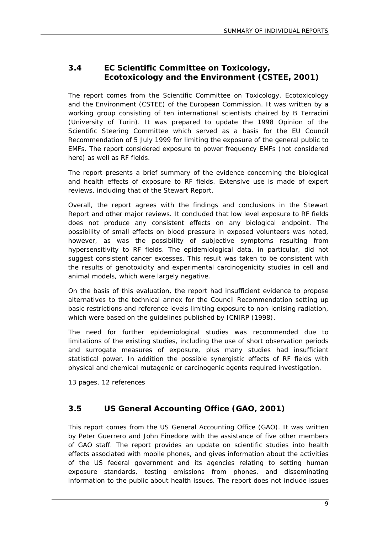## **3.4 EC Scientific Committee on Toxicology, Ecotoxicology and the Environment (CSTEE, 2001)**

The report comes from the Scientific Committee on Toxicology, Ecotoxicology and the Environment (CSTEE) of the European Commission. It was written by a working group consisting of ten international scientists chaired by B Terracini (University of Turin). It was prepared to update the 1998 Opinion of the Scientific Steering Committee which served as a basis for the EU Council Recommendation of 5 July 1999 for limiting the exposure of the general public to EMFs. The report considered exposure to power frequency EMFs (not considered here) as well as RF fields.

The report presents a brief summary of the evidence concerning the biological and health effects of exposure to RF fields. Extensive use is made of expert reviews, including that of the Stewart Report.

Overall, the report agrees with the findings and conclusions in the Stewart Report and other major reviews. It concluded that low level exposure to RF fields does not produce any consistent effects on any biological endpoint. The possibility of small effects on blood pressure in exposed volunteers was noted, however, as was the possibility of subjective symptoms resulting from hypersensitivity to RF fields. The epidemiological data, in particular, did not suggest consistent cancer excesses. This result was taken to be consistent with the results of genotoxicity and experimental carcinogenicity studies in cell and animal models, which were largely negative.

On the basis of this evaluation, the report had insufficient evidence to propose alternatives to the technical annex for the Council Recommendation setting up basic restrictions and reference levels limiting exposure to non-ionising radiation, which were based on the guidelines published by ICNIRP (1998).

The need for further epidemiological studies was recommended due to limitations of the existing studies, including the use of short observation periods and surrogate measures of exposure, plus many studies had insufficient statistical power. In addition the possible synergistic effects of RF fields with physical and chemical mutagenic or carcinogenic agents required investigation.

13 pages, 12 references

## **3.5 US General Accounting Office (GAO, 2001)**

This report comes from the US General Accounting Office (GAO). It was written by Peter Guerrero and John Finedore with the assistance of five other members of GAO staff. The report provides an update on scientific studies into health effects associated with mobile phones, and gives information about the activities of the US federal government and its agencies relating to setting human exposure standards, testing emissions from phones, and disseminating information to the public about health issues. The report does not include issues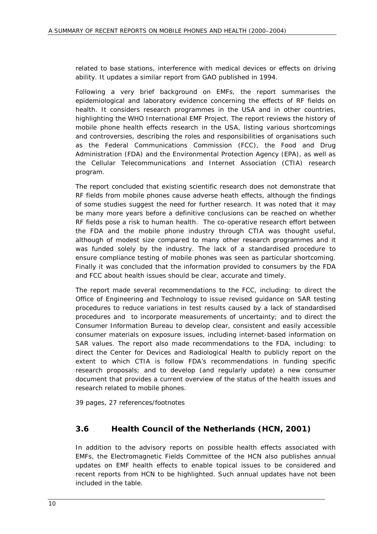related to base stations, interference with medical devices or effects on driving ability. It updates a similar report from GAO published in 1994.

Following a very brief background on EMFs, the report summarises the epidemiological and laboratory evidence concerning the effects of RF fields on health. It considers research programmes in the USA and in other countries, highlighting the WHO International EMF Project. The report reviews the history of mobile phone health effects research in the USA, listing various shortcomings and controversies, describing the roles and responsibilities of organisations such as the Federal Communications Commission (FCC), the Food and Drug Administration (FDA) and the Environmental Protection Agency (EPA), as well as the Cellular Telecommunications and Internet Association (CTIA) research program.

The report concluded that existing scientific research does not demonstrate that RF fields from mobile phones cause adverse heath effects, although the findings of some studies suggest the need for further research. It was noted that it may be many more years before a definitive conclusions can be reached on whether RF fields pose a risk to human health. The co-operative research effort between the FDA and the mobile phone industry through CTIA was thought useful, although of modest size compared to many other research programmes and it was funded solely by the industry. The lack of a standardised procedure to ensure compliance testing of mobile phones was seen as particular shortcoming. Finally it was concluded that the information provided to consumers by the FDA and FCC about health issues should be clear, accurate and timely.

The report made several recommendations to the FCC, including: to direct the Office of Engineering and Technology to issue revised guidance on SAR testing procedures to reduce variations in test results caused by a lack of standardised procedures and to incorporate measurements of uncertainty; and to direct the Consumer Information Bureau to develop clear, consistent and easily accessible consumer materials on exposure issues, including internet-based information on SAR values. The report also made recommendations to the FDA, including: to direct the Center for Devices and Radiological Health to publicly report on the extent to which CTIA is follow FDA's recommendations in funding specific research proposals; and to develop (and regularly update) a new consumer document that provides a current overview of the status of the health issues and research related to mobile phones.

39 pages, 27 references/footnotes

## **3.6 Health Council of the Netherlands (HCN, 2001)**

In addition to the advisory reports on possible health effects associated with EMFs, the Electromagnetic Fields Committee of the HCN also publishes annual updates on EMF health effects to enable topical issues to be considered and recent reports from HCN to be highlighted. Such annual updates have not been included in the table.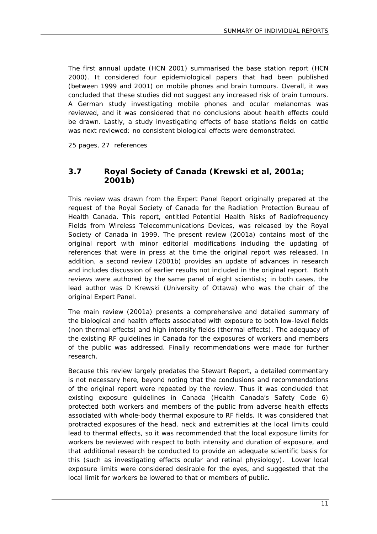The first annual update (HCN 2001) summarised the base station report (HCN 2000). It considered four epidemiological papers that had been published (between 1999 and 2001) on mobile phones and brain tumours. Overall, it was concluded that these studies did not suggest any increased risk of brain tumours. A German study investigating mobile phones and ocular melanomas was reviewed, and it was considered that no conclusions about health effects could be drawn. Lastly, a study investigating effects of base stations fields on cattle was next reviewed: no consistent biological effects were demonstrated.

25 pages, 27 references

#### **3.7 Royal Society of Canada (Krewski et al, 2001a; 2001b)**

This review was drawn from the Expert Panel Report originally prepared at the request of the Royal Society of Canada for the Radiation Protection Bureau of Health Canada. This report, entitled Potential Health Risks of Radiofrequency Fields from Wireless Telecommunications Devices, was released by the Royal Society of Canada in 1999. The present review (2001a) contains most of the original report with minor editorial modifications including the updating of references that were in press at the time the original report was released. In addition, a second review (2001b) provides an update of advances in research and includes discussion of earlier results not included in the original report. Both reviews were authored by the same panel of eight scientists; in both cases, the lead author was D Krewski (University of Ottawa) who was the chair of the original Expert Panel.

The main review (2001a) presents a comprehensive and detailed summary of the biological and health effects associated with exposure to both low-level fields (non thermal effects) and high intensity fields (thermal effects). The adequacy of the existing RF guidelines in Canada for the exposures of workers and members of the public was addressed. Finally recommendations were made for further research.

Because this review largely predates the Stewart Report, a detailed commentary is not necessary here, beyond noting that the conclusions and recommendations of the original report were repeated by the review. Thus it was concluded that existing exposure guidelines in Canada (Health Canada's Safety Code 6) protected both workers and members of the public from adverse health effects associated with whole-body thermal exposure to RF fields. It was considered that protracted exposures of the head, neck and extremities at the local limits could lead to thermal effects, so it was recommended that the local exposure limits for workers be reviewed with respect to both intensity and duration of exposure, and that additional research be conducted to provide an adequate scientific basis for this (such as investigating effects ocular and retinal physiology). Lower local exposure limits were considered desirable for the eyes, and suggested that the local limit for workers be lowered to that or members of public.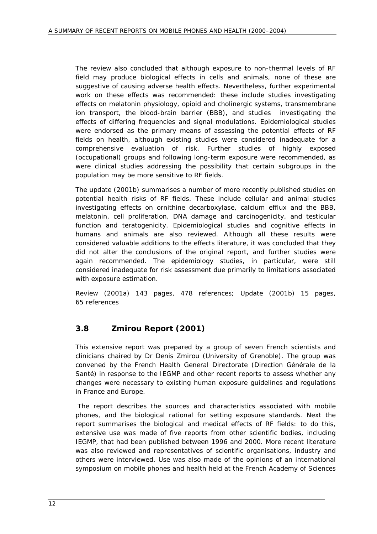The review also concluded that although exposure to non-thermal levels of RF field may produce biological effects in cells and animals, none of these are suggestive of causing adverse health effects. Nevertheless, further experimental work on these effects was recommended: these include studies investigating effects on melatonin physiology, opioid and cholinergic systems, transmembrane ion transport, the blood-brain barrier (BBB), and studies investigating the effects of differing frequencies and signal modulations. Epidemiological studies were endorsed as the primary means of assessing the potential effects of RF fields on health, although existing studies were considered inadequate for a comprehensive evaluation of risk. Further studies of highly exposed (occupational) groups and following long-term exposure were recommended, as were clinical studies addressing the possibility that certain subgroups in the population may be more sensitive to RF fields.

The update (2001b) summarises a number of more recently published studies on potential health risks of RF fields. These include cellular and animal studies investigating effects on ornithine decarboxylase, calcium efflux and the BBB, melatonin, cell proliferation, DNA damage and carcinogenicity, and testicular function and teratogenicity. Epidemiological studies and cognitive effects in humans and animals are also reviewed. Although all these results were considered valuable additions to the effects literature, it was concluded that they did not alter the conclusions of the original report, and further studies were again recommended. The epidemiology studies, in particular, were still considered inadequate for risk assessment due primarily to limitations associated with exposure estimation.

Review (2001a) 143 pages, 478 references; Update (2001b) 15 pages, 65 references

## **3.8 Zmirou Report (2001)**

This extensive report was prepared by a group of seven French scientists and clinicians chaired by Dr Denis Zmirou (University of Grenoble). The group was convened by the French Health General Directorate (Direction Générale de la Santé) in response to the IEGMP and other recent reports to assess whether any changes were necessary to existing human exposure guidelines and regulations in France and Europe.

 The report describes the sources and characteristics associated with mobile phones, and the biological rational for setting exposure standards. Next the report summarises the biological and medical effects of RF fields: to do this, extensive use was made of five reports from other scientific bodies, including IEGMP, that had been published between 1996 and 2000. More recent literature was also reviewed and representatives of scientific organisations, industry and others were interviewed. Use was also made of the opinions of an international symposium on mobile phones and health held at the French Academy of Sciences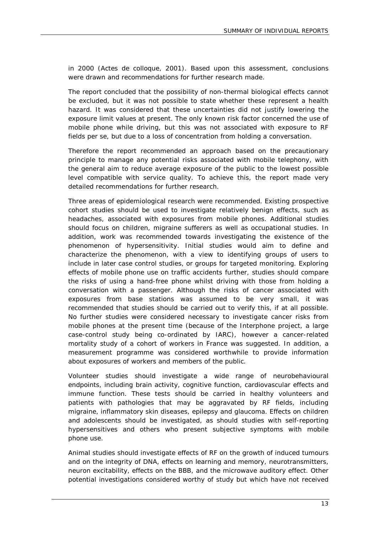in 2000 (Actes de colloque, 2001). Based upon this assessment, conclusions were drawn and recommendations for further research made.

The report concluded that the possibility of non-thermal biological effects cannot be excluded, but it was not possible to state whether these represent a health hazard. It was considered that these uncertainties did not justify lowering the exposure limit values at present. The only known risk factor concerned the use of mobile phone while driving, but this was not associated with exposure to RF fields per se, but due to a loss of concentration from holding a conversation.

Therefore the report recommended an approach based on the precautionary principle to manage any potential risks associated with mobile telephony, with the general aim to reduce average exposure of the public to the lowest possible level compatible with service quality. To achieve this, the report made very detailed recommendations for further research.

Three areas of epidemiological research were recommended. Existing prospective cohort studies should be used to investigate relatively benign effects, such as headaches, associated with exposures from mobile phones. Additional studies should focus on children, migraine sufferers as well as occupational studies. In addition, work was recommended towards investigating the existence of the phenomenon of hypersensitivity. Initial studies would aim to define and characterize the phenomenon, with a view to identifying groups of users to include in later case control studies, or groups for targeted monitoring. Exploring effects of mobile phone use on traffic accidents further, studies should compare the risks of using a hand-free phone whilst driving with those from holding a conversation with a passenger. Although the risks of cancer associated with exposures from base stations was assumed to be very small, it was recommended that studies should be carried out to verify this, if at all possible. No further studies were considered necessary to investigate cancer risks from mobile phones at the present time (because of the Interphone project, a large case-control study being co-ordinated by IARC), however a cancer-related mortality study of a cohort of workers in France was suggested. In addition, a measurement programme was considered worthwhile to provide information about exposures of workers and members of the public.

Volunteer studies should investigate a wide range of neurobehavioural endpoints, including brain activity, cognitive function, cardiovascular effects and immune function. These tests should be carried in healthy volunteers and patients with pathologies that may be aggravated by RF fields, including migraine, inflammatory skin diseases, epilepsy and glaucoma. Effects on children and adolescents should be investigated, as should studies with self-reporting hypersensitives and others who present subjective symptoms with mobile phone use.

Animal studies should investigate effects of RF on the growth of induced tumours and on the integrity of DNA, effects on learning and memory, neurotransmitters, neuron excitability, effects on the BBB, and the microwave auditory effect. Other potential investigations considered worthy of study but which have not received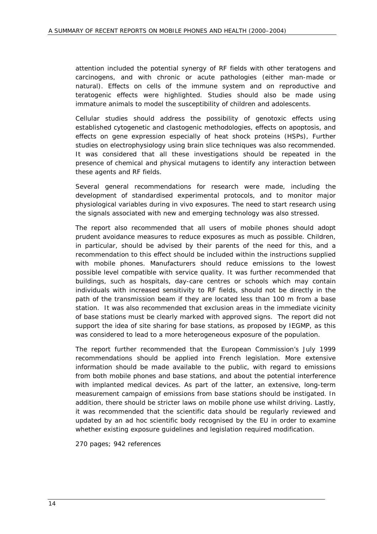attention included the potential synergy of RF fields with other teratogens and carcinogens, and with chronic or acute pathologies (either man-made or natural). Effects on cells of the immune system and on reproductive and teratogenic effects were highlighted. Studies should also be made using immature animals to model the susceptibility of children and adolescents.

Cellular studies should address the possibility of genotoxic effects using established cytogenetic and clastogenic methodologies, effects on apoptosis, and effects on gene expression especially of heat shock proteins (HSPs), Further studies on electrophysiology using brain slice techniques was also recommended. It was considered that all these investigations should be repeated in the presence of chemical and physical mutagens to identify any interaction between these agents and RF fields.

Several general recommendations for research were made, including the development of standardised experimental protocols, and to monitor major physiological variables during in vivo exposures. The need to start research using the signals associated with new and emerging technology was also stressed.

The report also recommended that all users of mobile phones should adopt prudent avoidance measures to reduce exposures as much as possible. Children, in particular, should be advised by their parents of the need for this, and a recommendation to this effect should be included within the instructions supplied with mobile phones. Manufacturers should reduce emissions to the lowest possible level compatible with service quality. It was further recommended that buildings, such as hospitals, day-care centres or schools which may contain individuals with increased sensitivity to RF fields, should not be directly in the path of the transmission beam if they are located less than 100 m from a base station. It was also recommended that exclusion areas in the immediate vicinity of base stations must be clearly marked with approved signs. The report did not support the idea of site sharing for base stations, as proposed by IEGMP, as this was considered to lead to a more heterogeneous exposure of the population.

The report further recommended that the European Commission's July 1999 recommendations should be applied into French legislation. More extensive information should be made available to the public, with regard to emissions from both mobile phones and base stations, and about the potential interference with implanted medical devices. As part of the latter, an extensive, long-term measurement campaign of emissions from base stations should be instigated. In addition, there should be stricter laws on mobile phone use whilst driving. Lastly, it was recommended that the scientific data should be regularly reviewed and updated by an ad hoc scientific body recognised by the EU in order to examine whether existing exposure guidelines and legislation required modification.

270 pages; 942 references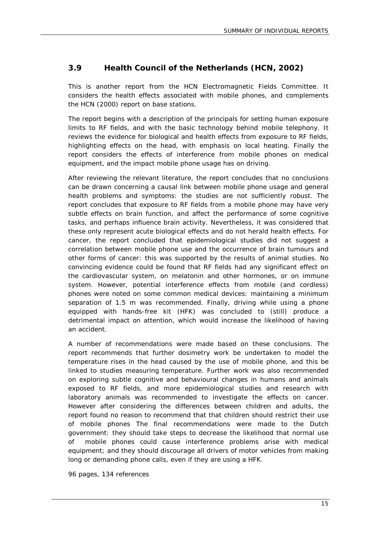### **3.9 Health Council of the Netherlands (HCN, 2002)**

This is another report from the HCN Electromagnetic Fields Committee. It considers the health effects associated with mobile phones, and complements the HCN (2000) report on base stations.

The report begins with a description of the principals for setting human exposure limits to RF fields, and with the basic technology behind mobile telephony. It reviews the evidence for biological and health effects from exposure to RF fields, highlighting effects on the head, with emphasis on local heating. Finally the report considers the effects of interference from mobile phones on medical equipment, and the impact mobile phone usage has on driving.

After reviewing the relevant literature, the report concludes that no conclusions can be drawn concerning a causal link between mobile phone usage and general health problems and symptoms: the studies are not sufficiently robust. The report concludes that exposure to RF fields from a mobile phone may have very subtle effects on brain function, and affect the performance of some cognitive tasks, and perhaps influence brain activity. Nevertheless, it was considered that these only represent acute biological effects and do not herald health effects. For cancer, the report concluded that epidemiological studies did not suggest a correlation between mobile phone use and the occurrence of brain tumours and other forms of cancer: this was supported by the results of animal studies. No convincing evidence could be found that RF fields had any significant effect on the cardiovascular system, on melatonin and other hormones, or on immune system. However, potential interference effects from mobile (and cordless) phones were noted on some common medical devices: maintaining a minimum separation of 1.5 m was recommended. Finally, driving while using a phone equipped with hands-free kit (HFK) was concluded to (still) produce a detrimental impact on attention, which would increase the likelihood of having an accident.

A number of recommendations were made based on these conclusions. The report recommends that further dosimetry work be undertaken to model the temperature rises in the head caused by the use of mobile phone, and this be linked to studies measuring temperature. Further work was also recommended on exploring subtle cognitive and behavioural changes in humans and animals exposed to RF fields, and more epidemiological studies and research with laboratory animals was recommended to investigate the effects on cancer. However after considering the differences between children and adults, the report found no reason to recommend that that children should restrict their use of mobile phones The final recommendations were made to the Dutch government: they should take steps to decrease the likelihood that normal use of mobile phones could cause interference problems arise with medical equipment; and they should discourage all drivers of motor vehicles from making long or demanding phone calls, even if they are using a HFK.

96 pages, 134 references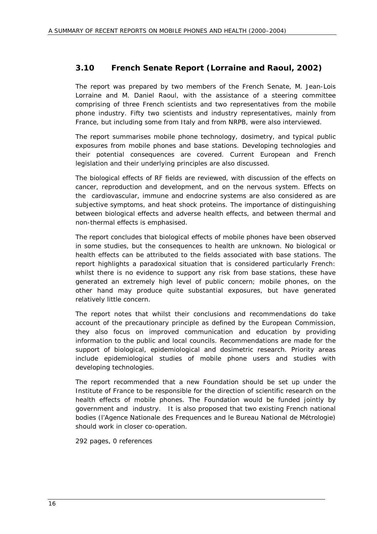#### **3.10 French Senate Report (Lorraine and Raoul, 2002)**

The report was prepared by two members of the French Senate, M. Jean-Lois Lorraine and M. Daniel Raoul, with the assistance of a steering committee comprising of three French scientists and two representatives from the mobile phone industry. Fifty two scientists and industry representatives, mainly from France, but including some from Italy and from NRPB, were also interviewed.

The report summarises mobile phone technology, dosimetry, and typical public exposures from mobile phones and base stations. Developing technologies and their potential consequences are covered. Current European and French legislation and their underlying principles are also discussed.

The biological effects of RF fields are reviewed, with discussion of the effects on cancer, reproduction and development, and on the nervous system. Effects on the cardiovascular, immune and endocrine systems are also considered as are subjective symptoms, and heat shock proteins. The importance of distinguishing between biological effects and adverse health effects, and between thermal and non-thermal effects is emphasised.

The report concludes that biological effects of mobile phones have been observed in some studies, but the consequences to health are unknown. No biological or health effects can be attributed to the fields associated with base stations. The report highlights a paradoxical situation that is considered particularly French: whilst there is no evidence to support any risk from base stations, these have generated an extremely high level of public concern; mobile phones, on the other hand may produce quite substantial exposures, but have generated relatively little concern.

The report notes that whilst their conclusions and recommendations do take account of the precautionary principle as defined by the European Commission, they also focus on improved communication and education by providing information to the public and local councils. Recommendations are made for the support of biological, epidemiological and dosimetric research. Priority areas include epidemiological studies of mobile phone users and studies with developing technologies.

The report recommended that a new Foundation should be set up under the Institute of France to be responsible for the direction of scientific research on the health effects of mobile phones. The Foundation would be funded jointly by government and industry. It is also proposed that two existing French national bodies (l'Agence Nationale des Frequences and le Bureau National de Métrologie) should work in closer co-operation.

292 pages, 0 references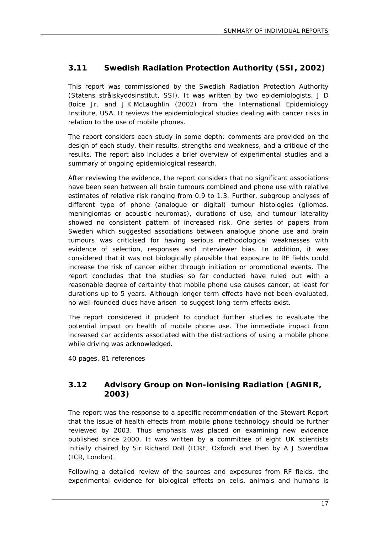## **3.11 Swedish Radiation Protection Authority (SSI, 2002)**

This report was commissioned by the Swedish Radiation Protection Authority (Statens strålskyddsinstitut, SSI). It was written by two epidemiologists, J D Boice Jr. and J K McLaughlin (2002) from the International Epidemiology Institute, USA. It reviews the epidemiological studies dealing with cancer risks in relation to the use of mobile phones.

The report considers each study in some depth: comments are provided on the design of each study, their results, strengths and weakness, and a critique of the results. The report also includes a brief overview of experimental studies and a summary of ongoing epidemiological research.

After reviewing the evidence, the report considers that no significant associations have been seen between all brain tumours combined and phone use with relative estimates of relative risk ranging from 0.9 to 1.3. Further, subgroup analyses of different type of phone (analogue or digital) tumour histologies (gliomas, meningiomas or acoustic neuromas), durations of use, and tumour laterality showed no consistent pattern of increased risk. One series of papers from Sweden which suggested associations between analogue phone use and brain tumours was criticised for having serious methodological weaknesses with evidence of selection, responses and interviewer bias. In addition, it was considered that it was not biologically plausible that exposure to RF fields could increase the risk of cancer either through initiation or promotional events. The report concludes that the studies so far conducted have ruled out with a reasonable degree of certainty that mobile phone use causes cancer, at least for durations up to 5 years. Although longer term effects have not been evaluated, no well-founded clues have arisen to suggest long-term effects exist.

The report considered it prudent to conduct further studies to evaluate the potential impact on health of mobile phone use. The immediate impact from increased car accidents associated with the distractions of using a mobile phone while driving was acknowledged.

40 pages, 81 references

#### **3.12 Advisory Group on Non-ionising Radiation (AGNIR, 2003)**

The report was the response to a specific recommendation of the Stewart Report that the issue of health effects from mobile phone technology should be further reviewed by 2003. Thus emphasis was placed on examining new evidence published since 2000. It was written by a committee of eight UK scientists initially chaired by Sir Richard Doll (ICRF, Oxford) and then by A J Swerdlow (ICR, London).

Following a detailed review of the sources and exposures from RF fields, the experimental evidence for biological effects on cells, animals and humans is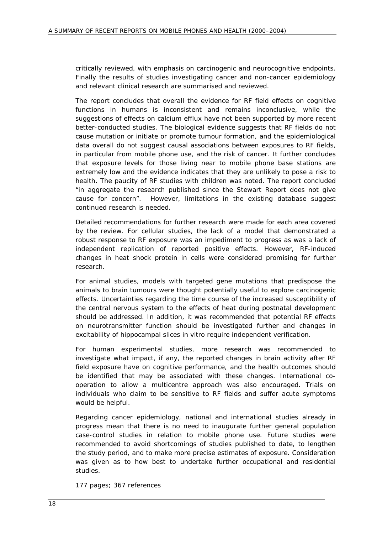critically reviewed, with emphasis on carcinogenic and neurocognitive endpoints. Finally the results of studies investigating cancer and non-cancer epidemiology and relevant clinical research are summarised and reviewed.

The report concludes that overall the evidence for RF field effects on cognitive functions in humans is inconsistent and remains inconclusive, while the suggestions of effects on calcium efflux have not been supported by more recent better-conducted studies. The biological evidence suggests that RF fields do not cause mutation or initiate or promote tumour formation, and the epidemiological data overall do not suggest causal associations between exposures to RF fields, in particular from mobile phone use, and the risk of cancer. It further concludes that exposure levels for those living near to mobile phone base stations are extremely low and the evidence indicates that they are unlikely to pose a risk to health. The paucity of RF studies with children was noted. The report concluded "in aggregate the research published since the Stewart Report does not give cause for concern". However, limitations in the existing database suggest continued research is needed.

Detailed recommendations for further research were made for each area covered by the review. For cellular studies, the lack of a model that demonstrated a robust response to RF exposure was an impediment to progress as was a lack of independent replication of reported positive effects. However, RF-induced changes in heat shock protein in cells were considered promising for further research.

For animal studies, models with targeted gene mutations that predispose the animals to brain tumours were thought potentially useful to explore carcinogenic effects. Uncertainties regarding the time course of the increased susceptibility of the central nervous system to the effects of heat during postnatal development should be addressed. In addition, it was recommended that potential RF effects on neurotransmitter function should be investigated further and changes in excitability of hippocampal slices *in vitro* require independent verification.

For human experimental studies, more research was recommended to investigate what impact, if any, the reported changes in brain activity after RF field exposure have on cognitive performance, and the health outcomes should be identified that may be associated with these changes. International cooperation to allow a multicentre approach was also encouraged. Trials on individuals who claim to be sensitive to RF fields and suffer acute symptoms would be helpful.

Regarding cancer epidemiology, national and international studies already in progress mean that there is no need to inaugurate further general population case-control studies in relation to mobile phone use. Future studies were recommended to avoid shortcomings of studies published to date, to lengthen the study period, and to make more precise estimates of exposure. Consideration was given as to how best to undertake further occupational and residential studies.

177 pages; 367 references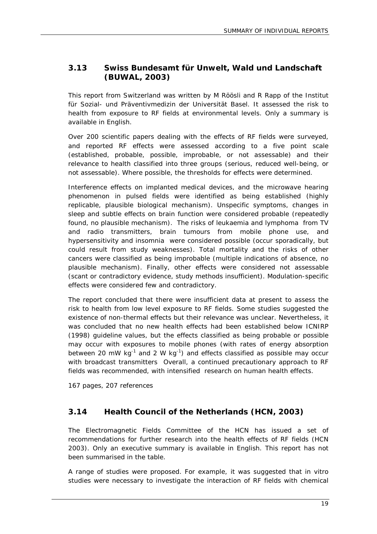## **3.13 Swiss Bundesamt für Unwelt, Wald und Landschaft (BUWAL, 2003)**

This report from Switzerland was written by M Röösli and R Rapp of the Institut für Sozial- und Präventivmedizin der Universität Basel. It assessed the risk to health from exposure to RF fields at environmental levels. Only a summary is available in English.

Over 200 scientific papers dealing with the effects of RF fields were surveyed, and reported RF effects were assessed according to a five point scale (established, probable, possible, improbable, or not assessable) and their relevance to health classified into three groups (serious, reduced well-being, or not assessable). Where possible, the thresholds for effects were determined.

Interference effects on implanted medical devices, and the microwave hearing phenomenon in pulsed fields were identified as being established (highly replicable, plausible biological mechanism). Unspecific symptoms, changes in sleep and subtle effects on brain function were considered probable (repeatedly found, no plausible mechanism). The risks of leukaemia and lymphoma from TV and radio transmitters, brain tumours from mobile phone use, and hypersensitivity and insomnia were considered possible (occur sporadically, but could result from study weaknesses). Total mortality and the risks of other cancers were classified as being improbable (multiple indications of absence, no plausible mechanism). Finally, other effects were considered not assessable (scant or contradictory evidence, study methods insufficient). Modulation-specific effects were considered few and contradictory.

The report concluded that there were insufficient data at present to assess the risk to health from low level exposure to RF fields. Some studies suggested the existence of non-thermal effects but their relevance was unclear. Nevertheless, it was concluded that no new health effects had been established below ICNIRP (1998) guideline values, but the effects classified as being probable or possible may occur with exposures to mobile phones (with rates of energy absorption between 20 mW kg<sup>-1</sup> and 2 W kg<sup>-1</sup>) and effects classified as possible may occur with broadcast transmitters Overall, a continued precautionary approach to RF fields was recommended, with intensified research on human health effects.

167 pages, 207 references

#### **3.14 Health Council of the Netherlands (HCN, 2003)**

The Electromagnetic Fields Committee of the HCN has issued a set of recommendations for further research into the health effects of RF fields (HCN 2003). Only an executive summary is available in English. This report has not been summarised in the table.

A range of studies were proposed. For example, it was suggested that *in vitro* studies were necessary to investigate the interaction of RF fields with chemical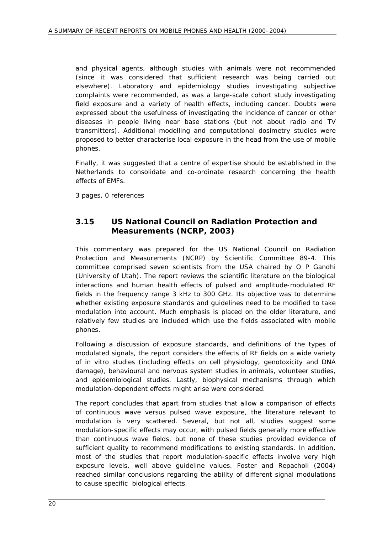and physical agents, although studies with animals were not recommended (since it was considered that sufficient research was being carried out elsewhere). Laboratory and epidemiology studies investigating subjective complaints were recommended, as was a large-scale cohort study investigating field exposure and a variety of health effects, including cancer. Doubts were expressed about the usefulness of investigating the incidence of cancer or other diseases in people living near base stations (but not about radio and TV transmitters). Additional modelling and computational dosimetry studies were proposed to better characterise local exposure in the head from the use of mobile phones.

Finally, it was suggested that a centre of expertise should be established in the Netherlands to consolidate and co-ordinate research concerning the health effects of EMFs.

3 pages, 0 references

#### **3.15 US National Council on Radiation Protection and Measurements (NCRP, 2003)**

This commentary was prepared for the US National Council on Radiation Protection and Measurements (NCRP) by Scientific Committee 89-4. This committee comprised seven scientists from the USA chaired by O P Gandhi (University of Utah). The report reviews the scientific literature on the biological interactions and human health effects of pulsed and amplitude-modulated RF fields in the frequency range 3 kHz to 300 GHz. Its objective was to determine whether existing exposure standards and guidelines need to be modified to take modulation into account. Much emphasis is placed on the older literature, and relatively few studies are included which use the fields associated with mobile phones.

Following a discussion of exposure standards, and definitions of the types of modulated signals, the report considers the effects of RF fields on a wide variety of *in vitro* studies (including effects on cell physiology, genotoxicity and DNA damage), behavioural and nervous system studies in animals, volunteer studies, and epidemiological studies. Lastly, biophysical mechanisms through which modulation-dependent effects might arise were considered.

The report concludes that apart from studies that allow a comparison of effects of continuous wave versus pulsed wave exposure, the literature relevant to modulation is very scattered. Several, but not all, studies suggest some modulation-specific effects may occur, with pulsed fields generally more effective than continuous wave fields, but none of these studies provided evidence of sufficient quality to recommend modifications to existing standards. In addition, most of the studies that report modulation-specific effects involve very high exposure levels, well above guideline values. Foster and Repacholi (2004) reached similar conclusions regarding the ability of different signal modulations to cause specific biological effects.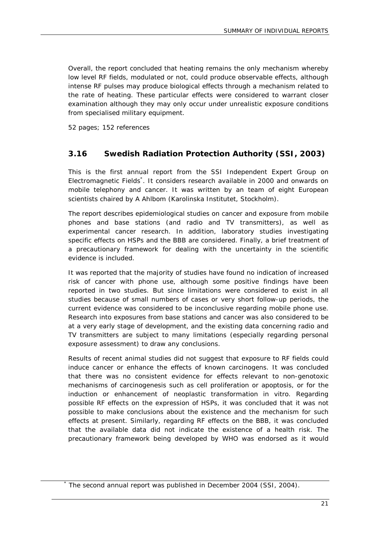Overall, the report concluded that heating remains the only mechanism whereby low level RF fields, modulated or not, could produce observable effects, although intense RF pulses may produce biological effects through a mechanism related to the rate of heating. These particular effects were considered to warrant closer examination although they may only occur under unrealistic exposure conditions from specialised military equipment.

52 pages; 152 references

\*

## **3.16 Swedish Radiation Protection Authority (SSI, 2003)**

This is the first annual report from the SSI Independent Expert Group on Electromagnetic Fields\* . It considers research available in 2000 and onwards on mobile telephony and cancer. It was written by an team of eight European scientists chaired by A Ahlbom (Karolinska Institutet, Stockholm).

The report describes epidemiological studies on cancer and exposure from mobile phones and base stations (and radio and TV transmitters), as well as experimental cancer research. In addition, laboratory studies investigating specific effects on HSPs and the BBB are considered. Finally, a brief treatment of a precautionary framework for dealing with the uncertainty in the scientific evidence is included.

It was reported that the majority of studies have found no indication of increased risk of cancer with phone use, although some positive findings have been reported in two studies. But since limitations were considered to exist in all studies because of small numbers of cases or very short follow-up periods, the current evidence was considered to be inconclusive regarding mobile phone use. Research into exposures from base stations and cancer was also considered to be at a very early stage of development, and the existing data concerning radio and TV transmitters are subject to many limitations (especially regarding personal exposure assessment) to draw any conclusions.

Results of recent animal studies did not suggest that exposure to RF fields could induce cancer or enhance the effects of known carcinogens. It was concluded that there was no consistent evidence for effects relevant to non-genotoxic mechanisms of carcinogenesis such as cell proliferation or apoptosis, or for the induction or enhancement of neoplastic transformation *in vitro*. Regarding possible RF effects on the expression of HSPs, it was concluded that it was not possible to make conclusions about the existence and the mechanism for such effects at present. Similarly, regarding RF effects on the BBB, it was concluded that the available data did not indicate the existence of a health risk. The precautionary framework being developed by WHO was endorsed as it would

The second annual report was published in December 2004 (SSI, 2004).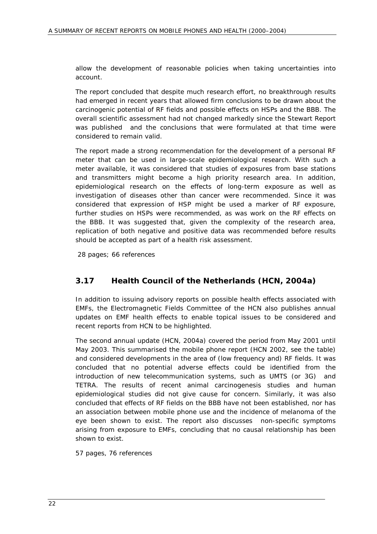allow the development of reasonable policies when taking uncertainties into account.

The report concluded that despite much research effort, no breakthrough results had emerged in recent years that allowed firm conclusions to be drawn about the carcinogenic potential of RF fields and possible effects on HSPs and the BBB. The overall scientific assessment had not changed markedly since the Stewart Report was published and the conclusions that were formulated at that time were considered to remain valid.

The report made a strong recommendation for the development of a personal RF meter that can be used in large-scale epidemiological research. With such a meter available, it was considered that studies of exposures from base stations and transmitters might become a high priority research area. In addition, epidemiological research on the effects of long-term exposure as well as investigation of diseases other than cancer were recommended. Since it was considered that expression of HSP might be used a marker of RF exposure, further studies on HSPs were recommended, as was work on the RF effects on the BBB. It was suggested that, given the complexity of the research area, replication of both negative and positive data was recommended before results should be accepted as part of a health risk assessment.

28 pages; 66 references

## **3.17 Health Council of the Netherlands (HCN, 2004a)**

In addition to issuing advisory reports on possible health effects associated with EMFs, the Electromagnetic Fields Committee of the HCN also publishes annual updates on EMF health effects to enable topical issues to be considered and recent reports from HCN to be highlighted.

The second annual update (HCN, 2004a) covered the period from May 2001 until May 2003. This summarised the mobile phone report (HCN 2002, see the table) and considered developments in the area of (low frequency and) RF fields. It was concluded that no potential adverse effects could be identified from the introduction of new telecommunication systems, such as UMTS (or 3G) and TETRA. The results of recent animal carcinogenesis studies and human epidemiological studies did not give cause for concern. Similarly, it was also concluded that effects of RF fields on the BBB have not been established, nor has an association between mobile phone use and the incidence of melanoma of the eye been shown to exist. The report also discusses non-specific symptoms arising from exposure to EMFs, concluding that no causal relationship has been shown to exist.

57 pages, 76 references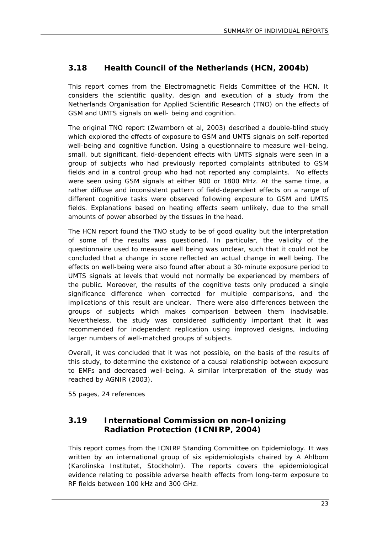## **3.18 Health Council of the Netherlands (HCN, 2004b)**

This report comes from the Electromagnetic Fields Committee of the HCN. It considers the scientific quality, design and execution of a study from the Netherlands Organisation for Applied Scientific Research (TNO) on the effects of GSM and UMTS signals on well- being and cognition.

The original TNO report (Zwamborn et al, 2003) described a double-blind study which explored the effects of exposure to GSM and UMTS signals on self-reported well-being and cognitive function. Using a questionnaire to measure well-being, small, but significant, field-dependent effects with UMTS signals were seen in a group of subjects who had previously reported complaints attributed to GSM fields and in a control group who had not reported any complaints. No effects were seen using GSM signals at either 900 or 1800 MHz. At the same time, a rather diffuse and inconsistent pattern of field-dependent effects on a range of different cognitive tasks were observed following exposure to GSM and UMTS fields. Explanations based on heating effects seem unlikely, due to the small amounts of power absorbed by the tissues in the head.

The HCN report found the TNO study to be of good quality but the interpretation of some of the results was questioned. In particular, the validity of the questionnaire used to measure well being was unclear, such that it could not be concluded that a change in score reflected an actual change in well being. The effects on well-being were also found after about a 30-minute exposure period to UMTS signals at levels that would not normally be experienced by members of the public. Moreover, the results of the cognitive tests only produced a single significance difference when corrected for multiple comparisons, and the implications of this result are unclear. There were also differences between the groups of subjects which makes comparison between them inadvisable. Nevertheless, the study was considered sufficiently important that it was recommended for independent replication using improved designs, including larger numbers of well-matched groups of subjects.

Overall, it was concluded that it was not possible, on the basis of the results of this study, to determine the existence of a causal relationship between exposure to EMFs and decreased well-being. A similar interpretation of the study was reached by AGNIR (2003).

55 pages, 24 references

#### **3.19 International Commission on non-Ionizing Radiation Protection (ICNIRP, 2004)**

This report comes from the ICNIRP Standing Committee on Epidemiology. It was written by an international group of six epidemiologists chaired by A Ahlbom (Karolinska Institutet, Stockholm). The reports covers the epidemiological evidence relating to possible adverse health effects from long-term exposure to RF fields between 100 kHz and 300 GHz.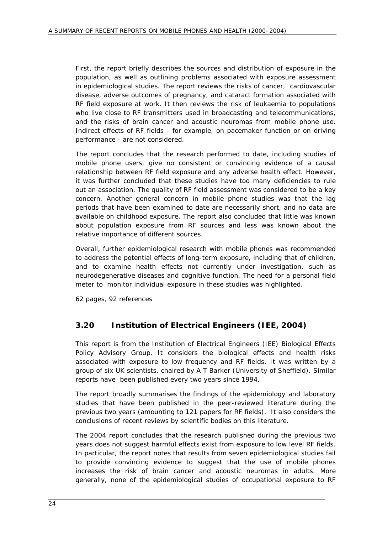First, the report briefly describes the sources and distribution of exposure in the population, as well as outlining problems associated with exposure assessment in epidemiological studies. The report reviews the risks of cancer, cardiovascular disease, adverse outcomes of pregnancy, and cataract formation associated with RF field exposure at work. It then reviews the risk of leukaemia to populations who live close to RF transmitters used in broadcasting and telecommunications, and the risks of brain cancer and acoustic neuromas from mobile phone use. Indirect effects of RF fields - for example, on pacemaker function or on driving performance - are not considered.

The report concludes that the research performed to date, including studies of mobile phone users, give no consistent or convincing evidence of a causal relationship between RF field exposure and any adverse health effect. However, it was further concluded that these studies have too many deficiencies to rule out an association. The quality of RF field assessment was considered to be a key concern. Another general concern in mobile phone studies was that the lag periods that have been examined to date are necessarily short, and no data are available on childhood exposure. The report also concluded that little was known about population exposure from RF sources and less was known about the relative importance of different sources.

Overall, further epidemiological research with mobile phones was recommended to address the potential effects of long-term exposure, including that of children, and to examine health effects not currently under investigation, such as neurodegenerative diseases and cognitive function. The need for a personal field meter to monitor individual exposure in these studies was highlighted.

62 pages, 92 references

## **3.20 Institution of Electrical Engineers (IEE, 2004)**

This report is from the Institution of Electrical Engineers (IEE) Biological Effects Policy Advisory Group. It considers the biological effects and health risks associated with exposure to low frequency and RF fields. It was written by a group of six UK scientists, chaired by A T Barker (University of Sheffield). Similar reports have been published every two years since 1994.

The report broadly summarises the findings of the epidemiology and laboratory studies that have been published in the peer-reviewed literature during the previous two years (amounting to 121 papers for RF fields). It also considers the conclusions of recent reviews by scientific bodies on this literature.

The 2004 report concludes that the research published during the previous two years does not suggest harmful effects exist from exposure to low level RF fields. In particular, the report notes that results from seven epidemiological studies fail to provide convincing evidence to suggest that the use of mobile phones increases the risk of brain cancer and acoustic neuromas in adults. More generally, none of the epidemiological studies of occupational exposure to RF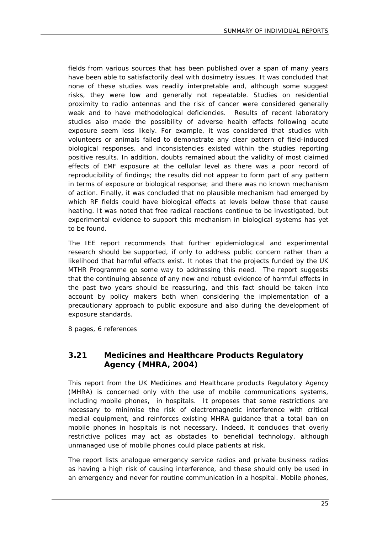fields from various sources that has been published over a span of many years have been able to satisfactorily deal with dosimetry issues. It was concluded that none of these studies was readily interpretable and, although some suggest risks, they were low and generally not repeatable. Studies on residential proximity to radio antennas and the risk of cancer were considered generally weak and to have methodological deficiencies. Results of recent laboratory studies also made the possibility of adverse health effects following acute exposure seem less likely. For example, it was considered that studies with volunteers or animals failed to demonstrate any clear pattern of field-induced biological responses, and inconsistencies existed within the studies reporting positive results. In addition, doubts remained about the validity of most claimed effects of EMF exposure at the cellular level as there was a poor record of reproducibility of findings; the results did not appear to form part of any pattern in terms of exposure or biological response; and there was no known mechanism of action. Finally, it was concluded that no plausible mechanism had emerged by which RF fields could have biological effects at levels below those that cause heating. It was noted that free radical reactions continue to be investigated, but experimental evidence to support this mechanism in biological systems has yet to be found.

The IEE report recommends that further epidemiological and experimental research should be supported, if only to address public concern rather than a likelihood that harmful effects exist. It notes that the projects funded by the UK MTHR Programme go some way to addressing this need. The report suggests that the continuing absence of any new and robust evidence of harmful effects in the past two years should be reassuring, and this fact should be taken into account by policy makers both when considering the implementation of a precautionary approach to public exposure and also during the development of exposure standards.

8 pages, 6 references

#### **3.21 Medicines and Healthcare Products Regulatory Agency (MHRA, 2004)**

This report from the UK Medicines and Healthcare products Regulatory Agency (MHRA) is concerned only with the use of mobile communications systems, including mobile phones, in hospitals. It proposes that some restrictions are necessary to minimise the risk of electromagnetic interference with critical medial equipment, and reinforces existing MHRA guidance that a total ban on mobile phones in hospitals is not necessary. Indeed, it concludes that overly restrictive polices may act as obstacles to beneficial technology, although unmanaged use of mobile phones could place patients at risk.

The report lists analogue emergency service radios and private business radios as having a high risk of causing interference, and these should only be used in an emergency and never for routine communication in a hospital. Mobile phones,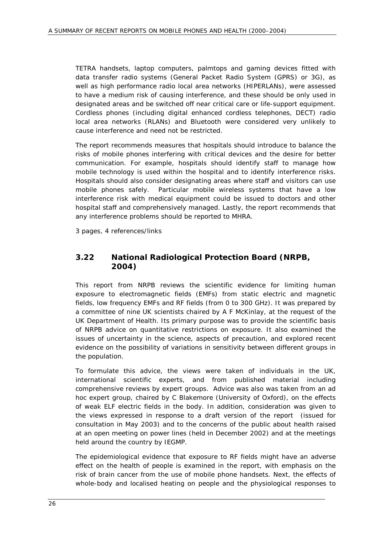TETRA handsets, laptop computers, palmtops and gaming devices fitted with data transfer radio systems (General Packet Radio System (GPRS) or 3G), as well as high performance radio local area networks (HIPERLANs), were assessed to have a medium risk of causing interference, and these should be only used in designated areas and be switched off near critical care or life-support equipment. Cordless phones (including digital enhanced cordless telephones, DECT) radio local area networks (RLANs) and Bluetooth were considered very unlikely to cause interference and need not be restricted.

The report recommends measures that hospitals should introduce to balance the risks of mobile phones interfering with critical devices and the desire for better communication. For example, hospitals should identify staff to manage how mobile technology is used within the hospital and to identify interference risks. Hospitals should also consider designating areas where staff and visitors can use mobile phones safely. Particular mobile wireless systems that have a low interference risk with medical equipment could be issued to doctors and other hospital staff and comprehensively managed. Lastly, the report recommends that any interference problems should be reported to MHRA.

3 pages, 4 references/links

### **3.22 National Radiological Protection Board (NRPB, 2004)**

This report from NRPB reviews the scientific evidence for limiting human exposure to electromagnetic fields (EMFs) from static electric and magnetic fields, low frequency EMFs and RF fields (from 0 to 300 GHz). It was prepared by a committee of nine UK scientists chaired by A F McKinlay, at the request of the UK Department of Health. Its primary purpose was to provide the scientific basis of NRPB advice on quantitative restrictions on exposure. It also examined the issues of uncertainty in the science, aspects of precaution, and explored recent evidence on the possibility of variations in sensitivity between different groups in the population.

To formulate this advice, the views were taken of individuals in the UK, international scientific experts, and from published material including comprehensive reviews by expert groups. Advice was also was taken from an *ad hoc* expert group, chaired by C Blakemore (University of Oxford), on the effects of weak ELF electric fields in the body. In addition, consideration was given to the views expressed in response to a draft version of the report (issued for consultation in May 2003) and to the concerns of the public about health raised at an open meeting on power lines (held in December 2002) and at the meetings held around the country by IEGMP.

The epidemiological evidence that exposure to RF fields might have an adverse effect on the health of people is examined in the report, with emphasis on the risk of brain cancer from the use of mobile phone handsets. Next, the effects of whole-body and localised heating on people and the physiological responses to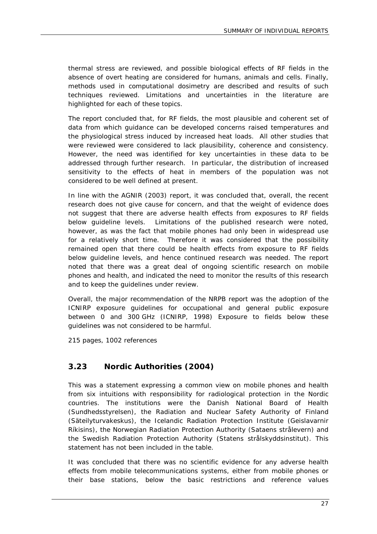thermal stress are reviewed, and possible biological effects of RF fields in the absence of overt heating are considered for humans, animals and cells. Finally, methods used in computational dosimetry are described and results of such techniques reviewed. Limitations and uncertainties in the literature are highlighted for each of these topics.

The report concluded that, for RF fields, the most plausible and coherent set of data from which guidance can be developed concerns raised temperatures and the physiological stress induced by increased heat loads. All other studies that were reviewed were considered to lack plausibility, coherence and consistency. However, the need was identified for key uncertainties in these data to be addressed through further research. In particular, the distribution of increased sensitivity to the effects of heat in members of the population was not considered to be well defined at present.

In line with the AGNIR (2003) report, it was concluded that, overall, the recent research does not give cause for concern, and that the weight of evidence does not suggest that there are adverse health effects from exposures to RF fields below guideline levels. Limitations of the published research were noted, however, as was the fact that mobile phones had only been in widespread use for a relatively short time. Therefore it was considered that the possibility remained open that there could be health effects from exposure to RF fields below guideline levels, and hence continued research was needed. The report noted that there was a great deal of ongoing scientific research on mobile phones and health, and indicated the need to monitor the results of this research and to keep the guidelines under review.

Overall, the major recommendation of the NRPB report was the adoption of the ICNIRP exposure guidelines for occupational and general public exposure between 0 and 300 GHz (ICNIRP, 1998) Exposure to fields below these guidelines was not considered to be harmful.

215 pages, 1002 references

#### **3.23 Nordic Authorities (2004)**

This was a statement expressing a common view on mobile phones and health from six intuitions with responsibility for radiological protection in the Nordic countries. The institutions were the Danish National Board of Health (Sundhedsstyrelsen), the Radiation and Nuclear Safety Authority of Finland (Säteilyturvakeskus), the Icelandic Radiation Protection Institute (Geislavarnir Ríkisins), the Norwegian Radiation Protection Authority (Sataens strålevern) and the Swedish Radiation Protection Authority (Statens strålskyddsinstitut). This statement has not been included in the table.

It was concluded that there was no scientific evidence for any adverse health effects from mobile telecommunications systems, either from mobile phones or their base stations, below the basic restrictions and reference values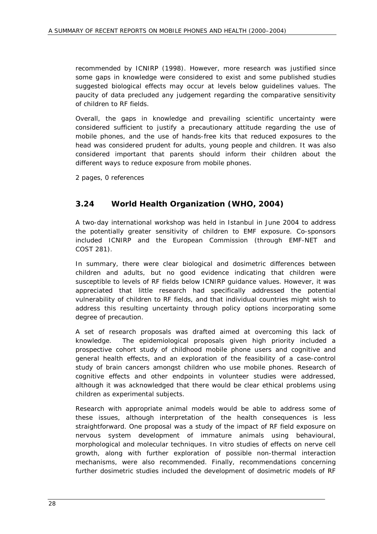recommended by ICNIRP (1998). However, more research was justified since some gaps in knowledge were considered to exist and some published studies suggested biological effects may occur at levels below guidelines values. The paucity of data precluded any judgement regarding the comparative sensitivity of children to RF fields.

Overall, the gaps in knowledge and prevailing scientific uncertainty were considered sufficient to justify a precautionary attitude regarding the use of mobile phones, and the use of hands-free kits that reduced exposures to the head was considered prudent for adults, young people and children. It was also considered important that parents should inform their children about the different ways to reduce exposure from mobile phones.

2 pages, 0 references

## **3.24 World Health Organization (WHO, 2004)**

A two-day international workshop was held in Istanbul in June 2004 to address the potentially greater sensitivity of children to EMF exposure. Co-sponsors included ICNIRP and the European Commission (through EMF-NET and COST 281).

In summary, there were clear biological and dosimetric differences between children and adults, but no good evidence indicating that children were susceptible to levels of RF fields below ICNIRP guidance values. However, it was appreciated that little research had specifically addressed the potential vulnerability of children to RF fields, and that individual countries might wish to address this resulting uncertainty through policy options incorporating some degree of precaution.

A set of research proposals was drafted aimed at overcoming this lack of knowledge. The epidemiological proposals given high priority included a prospective cohort study of childhood mobile phone users and cognitive and general health effects, and an exploration of the feasibility of a case-control study of brain cancers amongst children who use mobile phones. Research of cognitive effects and other endpoints in volunteer studies were addressed, although it was acknowledged that there would be clear ethical problems using children as experimental subjects.

Research with appropriate animal models would be able to address some of these issues, although interpretation of the health consequences is less straightforward. One proposal was a study of the impact of RF field exposure on nervous system development of immature animals using behavioural, morphological and molecular techniques. *In vitro* studies of effects on nerve cell growth, along with further exploration of possible non-thermal interaction mechanisms, were also recommended. Finally, recommendations concerning further dosimetric studies included the development of dosimetric models of RF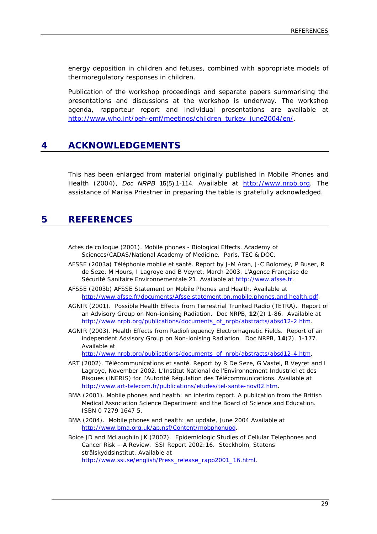energy deposition in children and fetuses, combined with appropriate models of thermoregulatory responses in children.

Publication of the workshop proceedings and separate papers summarising the presentations and discussions at the workshop is underway. The workshop agenda, rapporteur report and individual presentations are available at http://www.who.int/peh-emf/meetings/children\_turkey\_june2004/en/.

## **4 ACKNOWLEDGEMENTS**

This has been enlarged from material originally published in Mobile Phones and Health (2004), *Doc NRPB* **15**(5),1-114. Available at http://www.nrpb.org. The assistance of Marisa Priestner in preparing the table is gratefully acknowledged.

#### **5 REFERENCES**

- Actes de colloque (2001). Mobile phones Biological Effects. Academy of Sciences/CADAS/National Academy of Medicine. Paris, TEC & DOC.
- AFSSE (2003a) Téléphonie mobile et santé. Report by J-M Aran, J-C Bolomey, P Buser, R de Seze, M Hours, I Lagroye and B Veyret, March 2003. L'Agence Française de Sécurité Sanitaire Environnementale 21. Available at http://www.afsse.fr.
- AFSSE (2003b) AFSSE Statement on Mobile Phones and Health. Available at http://www.afsse.fr/documents/Afsse.statement.on.mobile.phones.and.health.pdf.
- AGNIR (2001). Possible Health Effects from Terrestrial Trunked Radio (TETRA). Report of an Advisory Group on Non-ionising Radiation. *Doc NRPB*, **12**(2) 1-86. Available at http://www.nrpb.org/publications/documents\_of\_nrpb/abstracts/absd12-2.htm.
- AGNIR (2003). Health Effects from Radiofrequency Electromagnetic Fields. Report of an independent Advisory Group on Non-ionising Radiation. *Doc NRPB*, **14**(2). 1-177. Available at

http://www.nrpb.org/publications/documents\_of\_nrpb/abstracts/absd12-4.htm.

- ART (2002). Télécommunications et santé. Report by R De Seze, G Vastel, B Veyret and I Lagroye, November 2002. L'Institut National de l'Environnement Industriel et des Risques (INERIS) for l'Autorité Régulation des Télécommunications. Available at http://www.art-telecom.fr/publications/etudes/tel-sante-nov02.htm.
- BMA (2001). Mobile phones and health: an interim report. A publication from the British Medical Association Science Department and the Board of Science and Education. ISBN 0 7279 1647 5.
- BMA (2004). Mobile phones and health: an update, June 2004 Available at http://www.bma.org.uk/ap.nsf/Content/mobphonupd.
- Boice JD and McLaughlin JK (2002). Epidemiologic Studies of Cellular Telephones and Cancer Risk – A Review. SSI Report 2002:16. Stockholm, Statens strålskyddsinstitut. Available at http://www.ssi.se/english/Press\_release\_rapp2001\_16.html.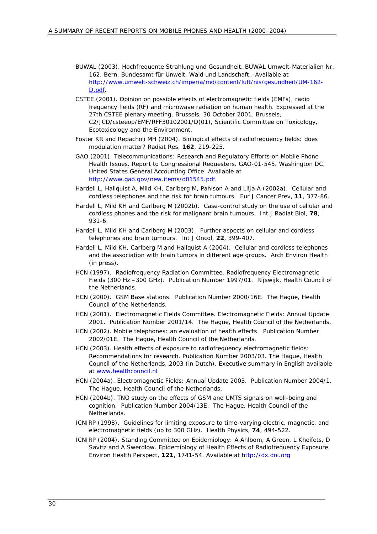- BUWAL (2003). Hochfrequente Strahlung und Gesundheit. BUWAL Umwelt-Materialien Nr. 162. Bern, Bundesamt für Unwelt, Wald und Landschaft,. Available at http://www.umwelt-schweiz.ch/imperia/md/content/luft/nis/gesundheit/UM-162- D.pdf.
- CSTEE (2001). Opinion on possible effects of electromagnetic fields (EMFs), radio frequency fields (RF) and microwave radiation on human health. Expressed at the 27th CSTEE plenary meeting, Brussels, 30 October 2001. Brussels, C2/JCD/csteeop/EMF/RFF30102001/D(01), Scientific Committee on Toxicology, Ecotoxicology and the Environment.
- Foster KR and Repacholi MH (2004). Biological effects of radiofrequency fields: does modulation matter? *Radiat Res*, **162**, 219-225.
- GAO (2001). Telecommunications: Research and Regulatory Efforts on Mobile Phone Health Issues. Report to Congressional Requesters. GAO-01-545. Washington DC, United States General Accounting Office. Available at http://www.gao.gov/new.items/d01545.pdf.
- Hardell L, Hallquist A, Mild KH, Carlberg M, Pahlson A and Lilja A (2002a). Cellular and cordless telephones and the risk for brain tumours. *Eur J Cancer Prev*, **11**, 377-86.
- Hardell L, Mild KH and Carlberg M (2002b). Case-control study on the use of cellular and cordless phones and the risk for malignant brain tumours. *Int J Radiat Biol*, **78**, 931-6.
- Hardell L, Mild KH and Carlberg M (2003). Further aspects on cellular and cordless telephones and brain tumours. *Int J Oncol*, **22**, 399-407.
- Hardell L, Mild KH, Carlberg M and Hallquist A (2004). Cellular and cordless telephones and the association with brain tumors in different age groups. *Arch Environ Health* (in press).
- HCN (1997). Radiofrequency Radiation Committee. Radiofrequency Electromagnetic Fields (300 Hz –300 GHz). Publication Number 1997/01. Rijswijk, Health Council of the Netherlands.
- HCN (2000). GSM Base stations. Publication Number 2000/16E. The Hague, Health Council of the Netherlands.
- HCN (2001). Electromagnetic Fields Committee. Electromagnetic Fields: Annual Update 2001. Publication Number 2001/14. The Hague, Health Council of the Netherlands.
- HCN (2002). Mobile telephones: an evaluation of health effects. Publication Number 2002/01E. The Hague, Health Council of the Netherlands.
- HCN (2003). Health effects of exposure to radiofrequency electromagnetic fields: Recommendations for research. Publication Number 2003/03. The Hague, Health Council of the Netherlands, 2003 (in Dutch). Executive summary in English available at www.healthcouncil.nl
- HCN (2004a). Electromagnetic Fields: Annual Update 2003. Publication Number 2004/1. The Hague, Health Council of the Netherlands.
- HCN (2004b). TNO study on the effects of GSM and UMTS signals on well-being and cognition. Publication Number 2004/13E. The Hague, Health Council of the Netherlands.
- ICNIRP (1998). Guidelines for limiting exposure to time-varying electric, magnetic, and electromagnetic fields (up to 300 GHz). Health Physics, **74**, 494-522.
- ICNIRP (2004). Standing Committee on Epidemiology: A Ahlbom, A Green, L Kheifets, D Savitz and A Swerdlow. Epidemiology of Health Effects of Radiofrequency Exposure. *Environ Health Perspect*, **121**, 1741-54. Available at http://dx.doi.org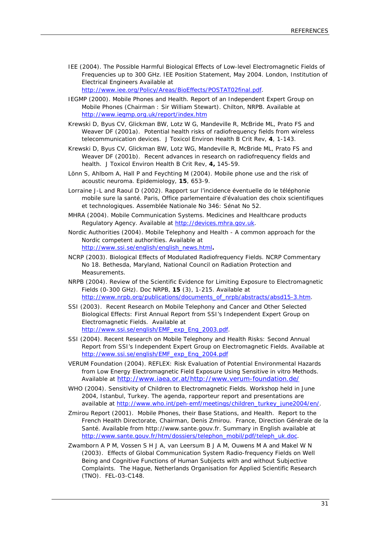IEE (2004). The Possible Harmful Biological Effects of Low-level Electromagnetic Fields of Frequencies up to 300 GHz. IEE Position Statement, May 2004. London, Institution of Electrical Engineers Available at http://www.iee.org/Policy/Areas/BioEffects/POSTAT02final.pdf.

IEGMP (2000). Mobile Phones and Health. Report of an Independent Expert Group on Mobile Phones (Chairman : Sir William Stewart). Chilton, NRPB. Available at http://www.iegmp.org.uk/report/index.htm

- Krewski D, Byus CV, Glickman BW, Lotz W G, Mandeville R, McBride ML, Prato FS and Weaver DF (2001a). Potential health risks of radiofrequency fields from wireless telecommunication devices. *J Toxicol Environ Health B Crit Rev*, **4**, 1-143.
- Krewski D, Byus CV, Glickman BW, Lotz WG, Mandeville R, McBride ML, Prato FS and Weaver DF (2001b). Recent advances in research on radiofrequency fields and health. J *Toxicol Environ Health B Crit Rev*, **4,** 145-59.
- Lönn S, Ahlbom A, Hall P and Feychting M (2004). Mobile phone use and the risk of acoustic neuroma. *Epidemiology*, **15**, 653-9.
- Lorraine J-L and Raoul D (2002). Rapport sur l'incidence éventuelle do le téléphonie mobile sure la santé. Paris, Office parlementaire d'évaluation des choix scientifiques et technologiques. Assemblée Nationale No 346: Sénat No 52.
- MHRA (2004). Mobile Communication Systems. Medicines and Healthcare products Regulatory Agency. Available at http://devices.mhra.gov.uk.
- Nordic Authorities (2004). Mobile Telephony and Health A common approach for the Nordic competent authorities. Available at http://www.ssi.se/english/english\_news.html**.**
- NCRP (2003). Biological Effects of Modulated Radiofrequency Fields. NCRP Commentary No 18. Bethesda, Maryland, National Council on Radiation Protection and **Measurements**
- NRPB (2004). Review of the Scientific Evidence for Limiting Exposure to Electromagnetic Fields (0-300 GHz). *Doc NRPB*, **15** (3), 1-215. Available at http://www.nrpb.org/publications/documents\_of\_nrpb/abstracts/absd15-3.htm.
- SSI (2003). Recent Research on Mobile Telephony and Cancer and Other Selected Biological Effects: First Annual Report from SSI's Independent Expert Group on Electromagnetic Fields. Available at http://www.ssi.se/english/EMF\_exp\_Eng\_2003.pdf.
- SSI (2004). Recent Research on Mobile Telephony and Health Risks: Second Annual Report from SSI's Independent Expert Group on Electromagnetic Fields. Available at http://www.ssi.se/english/EMF\_exp\_Eng\_2004.pdf
- VERUM Foundation (2004). REFLEX: Risk Evaluation of Potential Environmental Hazards from Low Energy Electromagnetic Field Exposure Using Sensitive in vitro Methods. Available at http://www.iaea.or.at/http://www.verum-foundation.de/
- WHO (2004). Sensitivity of Children to Electromagnetic Fields. Workshop held in June 2004, Istanbul, Turkey. The agenda, rapporteur report and presentations are available at http://www.who.int/peh-emf/meetings/children\_turkey\_june2004/en/.
- Zmirou Report (2001). Mobile Phones, their Base Stations, and Health. Report to the French Health Directorate, Chairman, Denis Zmirou. France, Direction Générale de la Santé. Available from http://www.sante.gouv.fr. Summary in English available at http://www.sante.gouv.fr/htm/dossiers/telephon\_mobil/pdf/teleph\_uk.doc.
- Zwamborn A P M, Vossen S H J A, van Leersum B J A M, Ouwens M A and Makel W N (2003). Effects of Global Communication System Radio-frequency Fields on Well Being and Cognitive Functions of Human Subjects with and without Subjective Complaints. The Hague, Netherlands Organisation for Applied Scientific Research (TNO). FEL-03-C148.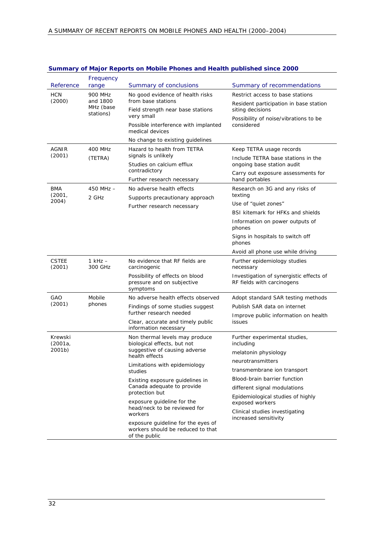| Reference              | Frequency<br>range                            | Summary of conclusions                                                                                                      | Summary of recommendations                                            |
|------------------------|-----------------------------------------------|-----------------------------------------------------------------------------------------------------------------------------|-----------------------------------------------------------------------|
| <b>HCN</b><br>(2000)   | 900 MHz<br>and 1800<br>MHz (base<br>stations) | No good evidence of health risks                                                                                            | Restrict access to base stations                                      |
|                        |                                               | from base stations                                                                                                          | Resident participation in base station                                |
|                        |                                               | Field strength near base stations<br>very small                                                                             | siting decisions<br>Possibility of noise/vibrations to be             |
|                        |                                               | Possible interference with implanted<br>medical devices                                                                     | considered                                                            |
|                        |                                               | No change to existing guidelines                                                                                            |                                                                       |
| AGNIR<br>(2001)        | 400 MHz<br>(TETRA)                            | Hazard to health from TETRA<br>signals is unlikely<br>Studies on calcium efflux                                             | Keep TETRA usage records                                              |
|                        |                                               |                                                                                                                             | Include TETRA base stations in the<br>ongoing base station audit      |
|                        |                                               | contradictory<br>Further research necessary                                                                                 | Carry out exposure assessments for<br>hand portables                  |
| <b>BMA</b>             | $450$ MHz $-$                                 | No adverse health effects                                                                                                   | Research on 3G and any risks of                                       |
| (2001,                 | 2 GHz                                         | Supports precautionary approach                                                                                             | texting                                                               |
| 2004)                  |                                               | Further research necessary                                                                                                  | Use of "quiet zones"                                                  |
|                        |                                               |                                                                                                                             | BSI kitemark for HFKs and shields                                     |
|                        |                                               |                                                                                                                             | Information on power outputs of<br>phones                             |
|                        |                                               |                                                                                                                             | Signs in hospitals to switch off<br>phones                            |
|                        |                                               |                                                                                                                             | Avoid all phone use while driving                                     |
| <b>CSTEE</b><br>(2001) | $1$ kHz $-$<br>300 GHz                        | No evidence that RF fields are<br>carcinogenic                                                                              | Further epidemiology studies<br>necessary                             |
|                        |                                               | Possibility of effects on blood<br>pressure and on subjective<br>symptoms                                                   | Investigation of synergistic effects of<br>RF fields with carcinogens |
| GAO                    | Mobile<br>phones                              | No adverse health effects observed                                                                                          | Adopt standard SAR testing methods                                    |
| (2001)                 |                                               | Findings of some studies suggest<br>further research needed                                                                 | Publish SAR data on internet                                          |
|                        |                                               |                                                                                                                             | Improve public information on health                                  |
|                        |                                               | Clear, accurate and timely public<br>information necessary                                                                  | issues                                                                |
| Krewski                |                                               | Non thermal levels may produce                                                                                              | Further experimental studies,                                         |
| (2001a,<br>2001b)      |                                               | biological effects, but not<br>suggestive of causing adverse<br>health effects                                              | including<br>melatonin physiology                                     |
|                        |                                               |                                                                                                                             | neurotransmitters                                                     |
|                        |                                               | Limitations with epidemiology<br>studies<br>Existing exposure guidelines in<br>Canada adequate to provide<br>protection but | transmembrane ion transport                                           |
|                        |                                               |                                                                                                                             | Blood-brain barrier function                                          |
|                        |                                               |                                                                                                                             | different signal modulations                                          |
|                        |                                               |                                                                                                                             | Epidemiological studies of highly                                     |
|                        |                                               | exposure guideline for the<br>head/neck to be reviewed for<br>workers                                                       | exposed workers                                                       |
|                        |                                               |                                                                                                                             | Clinical studies investigating                                        |
|                        |                                               | exposure guideline for the eyes of<br>workers should be reduced to that<br>of the public                                    | increased sensitivity                                                 |

#### **Summary of Major Reports on Mobile Phones and Health published since 2000**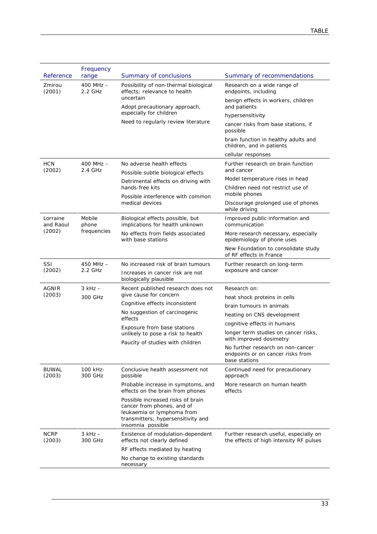| Zmirou<br>$400$ MHz $-$<br>Possibility of non-thermal biological<br>Research on a wide range of<br>(2001)<br>2.2 GHz<br>effects; relevance to health<br>endpoints, including<br>uncertain<br>benign effects in workers, children<br>Adopt precautionary approach,<br>and patients<br>especially for children<br>hypersensitivity<br>Need to regularly review literature<br>cancer risks from base stations, if<br>possible<br>brain function in healthy adults and<br>children, and in patients<br>cellular responses<br><b>HCN</b><br>$400$ MHz $-$<br>No adverse health effects<br>Further research on brain function<br>(2002)<br>2.4 GHz<br>and cancer<br>Possible subtle biological effects<br>Model temperature rises in head<br>Detrimental effects on driving with<br>hands-free kits<br>Children need not restrict use of<br>mobile phones<br>Possible interference with common<br>medical devices<br>Discourage prolonged use of phones<br>while driving<br>Lorraine<br>Mobile<br>Biological effects possible, but<br>Improved public information and<br>and Raoul<br>implications for health unknown<br>communication<br>phone<br>(2002)<br>frequencies<br>No effects from fields associated<br>More research necessary, especially<br>with base stations<br>epidemiology of phone uses<br>New Foundation to consolidate study<br>of RF effects in France<br>SSI<br>$450$ MHz $-$<br>No increased risk of brain tumours<br>Further research on long-term<br>2.2 GHz<br>(2002)<br>exposure and cancer<br>Increases in cancer risk are not<br>biologically plausible<br>AGNIR<br>$3$ kHz $-$<br>Recent published research does not<br>Research on:<br>(2003)<br>give cause for concern<br>300 GHz<br>heat shock proteins in cells<br>Cognitive effects inconsistent<br>brain tumours in animals<br>No suggestion of carcinogenic<br>heating on CNS development<br>effects<br>cognitive effects in humans<br>Exposure from base stations<br>longer term studies on cancer risks,<br>unlikely to pose a risk to health<br>with improved dosimetry<br>Paucity of studies with children<br>No further research on non-cancer<br>endpoints or on cancer risks from<br>base stations<br><b>BUWAL</b><br>100 kHz-<br>Conclusive health assessment not<br>Continued need for precautionary<br>300 GHz<br>(2003)<br>possible<br>approach<br>Probable increase in symptoms, and<br>More research on human health<br>effects on the brain from phones<br>effects<br>Possible increased risks of brain<br>cancer from phones, and of<br>leukaemia or lymphoma from<br>transmitters; hypersensitivity and<br>insomnia possible<br><b>NCRP</b><br>$3$ kHz $-$<br>Existence of modulation-dependent<br>Further research useful, especially on |           | Frequency |                             |                                         |
|-----------------------------------------------------------------------------------------------------------------------------------------------------------------------------------------------------------------------------------------------------------------------------------------------------------------------------------------------------------------------------------------------------------------------------------------------------------------------------------------------------------------------------------------------------------------------------------------------------------------------------------------------------------------------------------------------------------------------------------------------------------------------------------------------------------------------------------------------------------------------------------------------------------------------------------------------------------------------------------------------------------------------------------------------------------------------------------------------------------------------------------------------------------------------------------------------------------------------------------------------------------------------------------------------------------------------------------------------------------------------------------------------------------------------------------------------------------------------------------------------------------------------------------------------------------------------------------------------------------------------------------------------------------------------------------------------------------------------------------------------------------------------------------------------------------------------------------------------------------------------------------------------------------------------------------------------------------------------------------------------------------------------------------------------------------------------------------------------------------------------------------------------------------------------------------------------------------------------------------------------------------------------------------------------------------------------------------------------------------------------------------------------------------------------------------------------------------------------------------------------------------------------------------------------------------------------------------------------------------------------------------------------------------------------------------------------------------------------------------------|-----------|-----------|-----------------------------|-----------------------------------------|
|                                                                                                                                                                                                                                                                                                                                                                                                                                                                                                                                                                                                                                                                                                                                                                                                                                                                                                                                                                                                                                                                                                                                                                                                                                                                                                                                                                                                                                                                                                                                                                                                                                                                                                                                                                                                                                                                                                                                                                                                                                                                                                                                                                                                                                                                                                                                                                                                                                                                                                                                                                                                                                                                                                                                         | Reference | range     | Summary of conclusions      | Summary of recommendations              |
|                                                                                                                                                                                                                                                                                                                                                                                                                                                                                                                                                                                                                                                                                                                                                                                                                                                                                                                                                                                                                                                                                                                                                                                                                                                                                                                                                                                                                                                                                                                                                                                                                                                                                                                                                                                                                                                                                                                                                                                                                                                                                                                                                                                                                                                                                                                                                                                                                                                                                                                                                                                                                                                                                                                                         |           |           |                             |                                         |
|                                                                                                                                                                                                                                                                                                                                                                                                                                                                                                                                                                                                                                                                                                                                                                                                                                                                                                                                                                                                                                                                                                                                                                                                                                                                                                                                                                                                                                                                                                                                                                                                                                                                                                                                                                                                                                                                                                                                                                                                                                                                                                                                                                                                                                                                                                                                                                                                                                                                                                                                                                                                                                                                                                                                         |           |           |                             |                                         |
|                                                                                                                                                                                                                                                                                                                                                                                                                                                                                                                                                                                                                                                                                                                                                                                                                                                                                                                                                                                                                                                                                                                                                                                                                                                                                                                                                                                                                                                                                                                                                                                                                                                                                                                                                                                                                                                                                                                                                                                                                                                                                                                                                                                                                                                                                                                                                                                                                                                                                                                                                                                                                                                                                                                                         |           |           |                             |                                         |
|                                                                                                                                                                                                                                                                                                                                                                                                                                                                                                                                                                                                                                                                                                                                                                                                                                                                                                                                                                                                                                                                                                                                                                                                                                                                                                                                                                                                                                                                                                                                                                                                                                                                                                                                                                                                                                                                                                                                                                                                                                                                                                                                                                                                                                                                                                                                                                                                                                                                                                                                                                                                                                                                                                                                         |           |           |                             |                                         |
|                                                                                                                                                                                                                                                                                                                                                                                                                                                                                                                                                                                                                                                                                                                                                                                                                                                                                                                                                                                                                                                                                                                                                                                                                                                                                                                                                                                                                                                                                                                                                                                                                                                                                                                                                                                                                                                                                                                                                                                                                                                                                                                                                                                                                                                                                                                                                                                                                                                                                                                                                                                                                                                                                                                                         |           |           |                             |                                         |
|                                                                                                                                                                                                                                                                                                                                                                                                                                                                                                                                                                                                                                                                                                                                                                                                                                                                                                                                                                                                                                                                                                                                                                                                                                                                                                                                                                                                                                                                                                                                                                                                                                                                                                                                                                                                                                                                                                                                                                                                                                                                                                                                                                                                                                                                                                                                                                                                                                                                                                                                                                                                                                                                                                                                         |           |           |                             |                                         |
|                                                                                                                                                                                                                                                                                                                                                                                                                                                                                                                                                                                                                                                                                                                                                                                                                                                                                                                                                                                                                                                                                                                                                                                                                                                                                                                                                                                                                                                                                                                                                                                                                                                                                                                                                                                                                                                                                                                                                                                                                                                                                                                                                                                                                                                                                                                                                                                                                                                                                                                                                                                                                                                                                                                                         |           |           |                             |                                         |
|                                                                                                                                                                                                                                                                                                                                                                                                                                                                                                                                                                                                                                                                                                                                                                                                                                                                                                                                                                                                                                                                                                                                                                                                                                                                                                                                                                                                                                                                                                                                                                                                                                                                                                                                                                                                                                                                                                                                                                                                                                                                                                                                                                                                                                                                                                                                                                                                                                                                                                                                                                                                                                                                                                                                         |           |           |                             |                                         |
|                                                                                                                                                                                                                                                                                                                                                                                                                                                                                                                                                                                                                                                                                                                                                                                                                                                                                                                                                                                                                                                                                                                                                                                                                                                                                                                                                                                                                                                                                                                                                                                                                                                                                                                                                                                                                                                                                                                                                                                                                                                                                                                                                                                                                                                                                                                                                                                                                                                                                                                                                                                                                                                                                                                                         |           |           |                             |                                         |
|                                                                                                                                                                                                                                                                                                                                                                                                                                                                                                                                                                                                                                                                                                                                                                                                                                                                                                                                                                                                                                                                                                                                                                                                                                                                                                                                                                                                                                                                                                                                                                                                                                                                                                                                                                                                                                                                                                                                                                                                                                                                                                                                                                                                                                                                                                                                                                                                                                                                                                                                                                                                                                                                                                                                         |           |           |                             |                                         |
|                                                                                                                                                                                                                                                                                                                                                                                                                                                                                                                                                                                                                                                                                                                                                                                                                                                                                                                                                                                                                                                                                                                                                                                                                                                                                                                                                                                                                                                                                                                                                                                                                                                                                                                                                                                                                                                                                                                                                                                                                                                                                                                                                                                                                                                                                                                                                                                                                                                                                                                                                                                                                                                                                                                                         |           |           |                             |                                         |
|                                                                                                                                                                                                                                                                                                                                                                                                                                                                                                                                                                                                                                                                                                                                                                                                                                                                                                                                                                                                                                                                                                                                                                                                                                                                                                                                                                                                                                                                                                                                                                                                                                                                                                                                                                                                                                                                                                                                                                                                                                                                                                                                                                                                                                                                                                                                                                                                                                                                                                                                                                                                                                                                                                                                         |           |           |                             |                                         |
|                                                                                                                                                                                                                                                                                                                                                                                                                                                                                                                                                                                                                                                                                                                                                                                                                                                                                                                                                                                                                                                                                                                                                                                                                                                                                                                                                                                                                                                                                                                                                                                                                                                                                                                                                                                                                                                                                                                                                                                                                                                                                                                                                                                                                                                                                                                                                                                                                                                                                                                                                                                                                                                                                                                                         |           |           |                             |                                         |
|                                                                                                                                                                                                                                                                                                                                                                                                                                                                                                                                                                                                                                                                                                                                                                                                                                                                                                                                                                                                                                                                                                                                                                                                                                                                                                                                                                                                                                                                                                                                                                                                                                                                                                                                                                                                                                                                                                                                                                                                                                                                                                                                                                                                                                                                                                                                                                                                                                                                                                                                                                                                                                                                                                                                         |           |           |                             |                                         |
|                                                                                                                                                                                                                                                                                                                                                                                                                                                                                                                                                                                                                                                                                                                                                                                                                                                                                                                                                                                                                                                                                                                                                                                                                                                                                                                                                                                                                                                                                                                                                                                                                                                                                                                                                                                                                                                                                                                                                                                                                                                                                                                                                                                                                                                                                                                                                                                                                                                                                                                                                                                                                                                                                                                                         |           |           |                             |                                         |
|                                                                                                                                                                                                                                                                                                                                                                                                                                                                                                                                                                                                                                                                                                                                                                                                                                                                                                                                                                                                                                                                                                                                                                                                                                                                                                                                                                                                                                                                                                                                                                                                                                                                                                                                                                                                                                                                                                                                                                                                                                                                                                                                                                                                                                                                                                                                                                                                                                                                                                                                                                                                                                                                                                                                         |           |           |                             |                                         |
|                                                                                                                                                                                                                                                                                                                                                                                                                                                                                                                                                                                                                                                                                                                                                                                                                                                                                                                                                                                                                                                                                                                                                                                                                                                                                                                                                                                                                                                                                                                                                                                                                                                                                                                                                                                                                                                                                                                                                                                                                                                                                                                                                                                                                                                                                                                                                                                                                                                                                                                                                                                                                                                                                                                                         |           |           |                             |                                         |
|                                                                                                                                                                                                                                                                                                                                                                                                                                                                                                                                                                                                                                                                                                                                                                                                                                                                                                                                                                                                                                                                                                                                                                                                                                                                                                                                                                                                                                                                                                                                                                                                                                                                                                                                                                                                                                                                                                                                                                                                                                                                                                                                                                                                                                                                                                                                                                                                                                                                                                                                                                                                                                                                                                                                         |           |           |                             |                                         |
|                                                                                                                                                                                                                                                                                                                                                                                                                                                                                                                                                                                                                                                                                                                                                                                                                                                                                                                                                                                                                                                                                                                                                                                                                                                                                                                                                                                                                                                                                                                                                                                                                                                                                                                                                                                                                                                                                                                                                                                                                                                                                                                                                                                                                                                                                                                                                                                                                                                                                                                                                                                                                                                                                                                                         |           |           |                             |                                         |
|                                                                                                                                                                                                                                                                                                                                                                                                                                                                                                                                                                                                                                                                                                                                                                                                                                                                                                                                                                                                                                                                                                                                                                                                                                                                                                                                                                                                                                                                                                                                                                                                                                                                                                                                                                                                                                                                                                                                                                                                                                                                                                                                                                                                                                                                                                                                                                                                                                                                                                                                                                                                                                                                                                                                         |           |           |                             |                                         |
|                                                                                                                                                                                                                                                                                                                                                                                                                                                                                                                                                                                                                                                                                                                                                                                                                                                                                                                                                                                                                                                                                                                                                                                                                                                                                                                                                                                                                                                                                                                                                                                                                                                                                                                                                                                                                                                                                                                                                                                                                                                                                                                                                                                                                                                                                                                                                                                                                                                                                                                                                                                                                                                                                                                                         |           |           |                             |                                         |
|                                                                                                                                                                                                                                                                                                                                                                                                                                                                                                                                                                                                                                                                                                                                                                                                                                                                                                                                                                                                                                                                                                                                                                                                                                                                                                                                                                                                                                                                                                                                                                                                                                                                                                                                                                                                                                                                                                                                                                                                                                                                                                                                                                                                                                                                                                                                                                                                                                                                                                                                                                                                                                                                                                                                         |           |           |                             |                                         |
|                                                                                                                                                                                                                                                                                                                                                                                                                                                                                                                                                                                                                                                                                                                                                                                                                                                                                                                                                                                                                                                                                                                                                                                                                                                                                                                                                                                                                                                                                                                                                                                                                                                                                                                                                                                                                                                                                                                                                                                                                                                                                                                                                                                                                                                                                                                                                                                                                                                                                                                                                                                                                                                                                                                                         |           |           |                             |                                         |
|                                                                                                                                                                                                                                                                                                                                                                                                                                                                                                                                                                                                                                                                                                                                                                                                                                                                                                                                                                                                                                                                                                                                                                                                                                                                                                                                                                                                                                                                                                                                                                                                                                                                                                                                                                                                                                                                                                                                                                                                                                                                                                                                                                                                                                                                                                                                                                                                                                                                                                                                                                                                                                                                                                                                         |           |           |                             |                                         |
|                                                                                                                                                                                                                                                                                                                                                                                                                                                                                                                                                                                                                                                                                                                                                                                                                                                                                                                                                                                                                                                                                                                                                                                                                                                                                                                                                                                                                                                                                                                                                                                                                                                                                                                                                                                                                                                                                                                                                                                                                                                                                                                                                                                                                                                                                                                                                                                                                                                                                                                                                                                                                                                                                                                                         |           |           |                             |                                         |
|                                                                                                                                                                                                                                                                                                                                                                                                                                                                                                                                                                                                                                                                                                                                                                                                                                                                                                                                                                                                                                                                                                                                                                                                                                                                                                                                                                                                                                                                                                                                                                                                                                                                                                                                                                                                                                                                                                                                                                                                                                                                                                                                                                                                                                                                                                                                                                                                                                                                                                                                                                                                                                                                                                                                         |           |           |                             |                                         |
|                                                                                                                                                                                                                                                                                                                                                                                                                                                                                                                                                                                                                                                                                                                                                                                                                                                                                                                                                                                                                                                                                                                                                                                                                                                                                                                                                                                                                                                                                                                                                                                                                                                                                                                                                                                                                                                                                                                                                                                                                                                                                                                                                                                                                                                                                                                                                                                                                                                                                                                                                                                                                                                                                                                                         | (2003)    | 300 GHz   | effects not clearly defined | the effects of high intensity RF pulses |
| RF effects mediated by heating                                                                                                                                                                                                                                                                                                                                                                                                                                                                                                                                                                                                                                                                                                                                                                                                                                                                                                                                                                                                                                                                                                                                                                                                                                                                                                                                                                                                                                                                                                                                                                                                                                                                                                                                                                                                                                                                                                                                                                                                                                                                                                                                                                                                                                                                                                                                                                                                                                                                                                                                                                                                                                                                                                          |           |           |                             |                                         |
| No change to existing standards<br>necessary                                                                                                                                                                                                                                                                                                                                                                                                                                                                                                                                                                                                                                                                                                                                                                                                                                                                                                                                                                                                                                                                                                                                                                                                                                                                                                                                                                                                                                                                                                                                                                                                                                                                                                                                                                                                                                                                                                                                                                                                                                                                                                                                                                                                                                                                                                                                                                                                                                                                                                                                                                                                                                                                                            |           |           |                             |                                         |